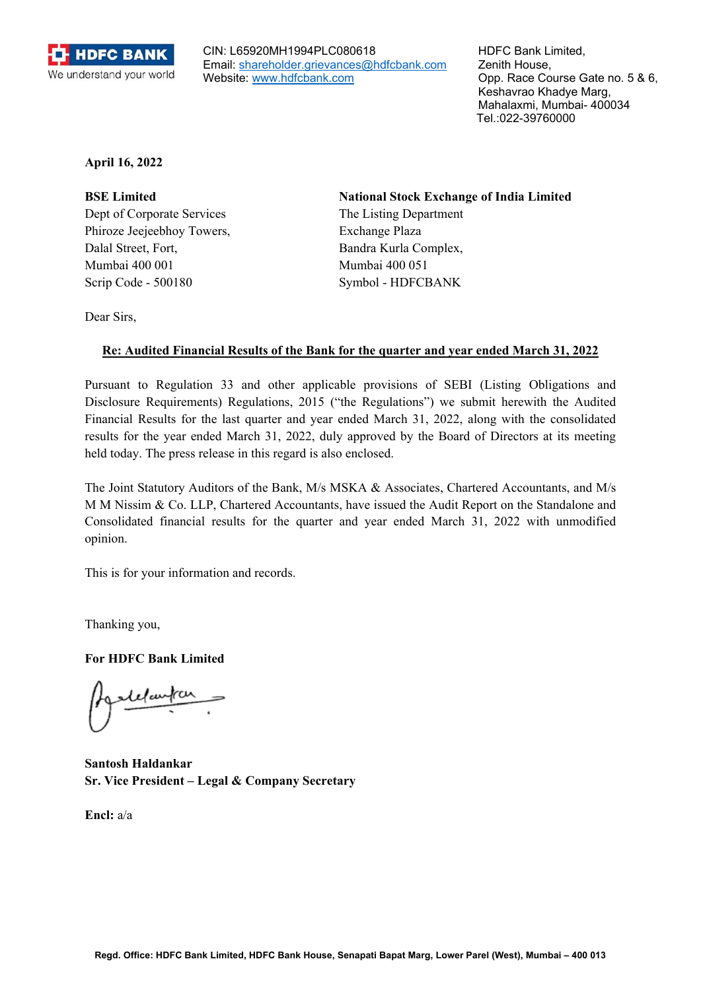

CIN: L65920MH1994PLC080618 Email: shareholder.grievances@hdfcbank.com Website: www.hdfcbank.com

HDFC Bank Limited, Zenith House, Opp. Race Course Gate no. 5 & 6, Keshavrao Khadye Marg, Mahalaxmi, Mumbai- 400034 Tel.:022-39760000

**April 16, 2022** 

Dept of Corporate Services The Listing Department Phiroze Jeejeebhoy Towers, Exchange Plaza Dalal Street, Fort, Bandra Kurla Complex, Mumbai 400 001 Mumbai 400 051 Scrip Code - 500180 Symbol - HDFCBANK

**BSE Limited National Stock Exchange of India Limited** 

Dear Sirs,

## **Re: Audited Financial Results of the Bank for the quarter and year ended March 31, 2022**

Pursuant to Regulation 33 and other applicable provisions of SEBI (Listing Obligations and Disclosure Requirements) Regulations, 2015 ("the Regulations") we submit herewith the Audited Financial Results for the last quarter and year ended March 31, 2022, along with the consolidated results for the year ended March 31, 2022, duly approved by the Board of Directors at its meeting held today. The press release in this regard is also enclosed.

The Joint Statutory Auditors of the Bank, M/s MSKA & Associates, Chartered Accountants, and M/s M M Nissim & Co. LLP, Chartered Accountants, have issued the Audit Report on the Standalone and Consolidated financial results for the quarter and year ended March 31, 2022 with unmodified opinion.

This is for your information and records.

Thanking you,

**For HDFC Bank Limited** 

**Santosh Haldankar Sr. Vice President – Legal & Company Secretary** 

**Encl:** a/a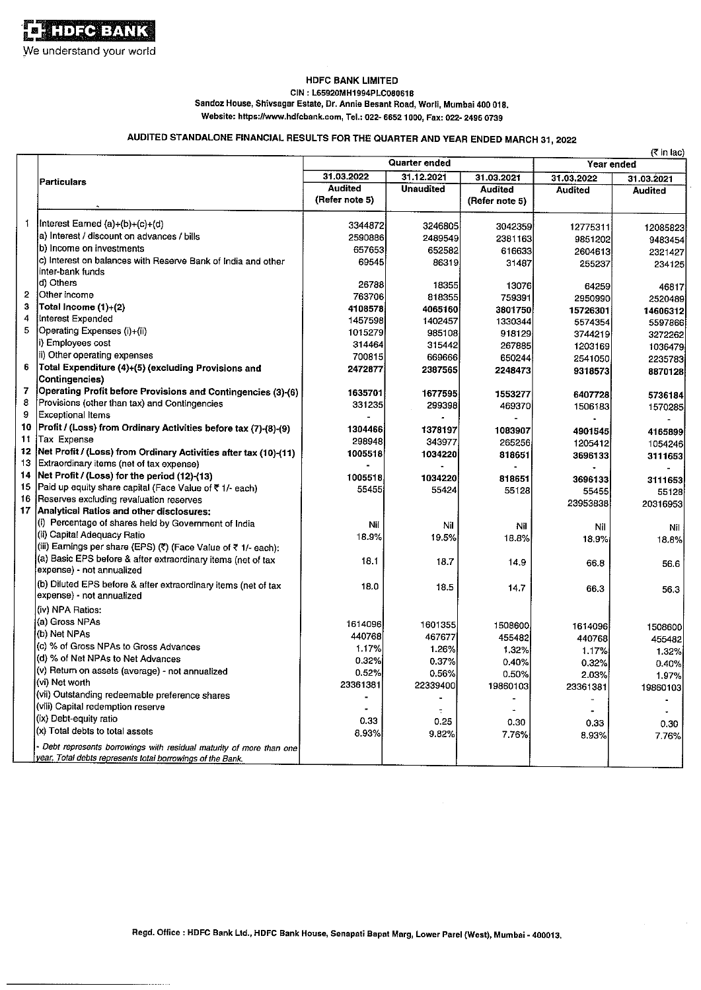#### **HDFC BANK LIMITED** CIN: L65920MH1994PLC080618 Sandoz House, Shivsagar Estate, Dr. Annie Besant Road, Worli, Mumbai 400 018. Website: https://www.hdfcbank.com, Tel.: 022- 6652 1000, Fax: 022- 2496 0739

# AUDITED STANDALONE FINANCIAL RESULTS FOR THE QUARTER AND YEAR ENDED MARCH 31, 2022

|                         |                                                                                                                                  | <b>Quarter ended</b>             |                   | (< in lac)<br>Year ended         |                |                |
|-------------------------|----------------------------------------------------------------------------------------------------------------------------------|----------------------------------|-------------------|----------------------------------|----------------|----------------|
|                         | <b>Particulars</b>                                                                                                               | 31.03.2022                       | 31.12.2021        | 31.03.2021                       | 31.03.2022     | 31.03.2021     |
|                         |                                                                                                                                  | <b>Audited</b><br>(Refer note 5) | <b>Unaudited</b>  | <b>Audited</b><br>(Refer note 5) | <b>Audited</b> | <b>Audited</b> |
| 1                       | Interest Earned (a)+(b)+(c)+(d)                                                                                                  | 3344872                          | 3246805           | 3042359                          | 12775311       | 12085823       |
|                         | a) Interest / discount on advances / bills                                                                                       | 2590886                          | 2489549           | 2381163                          | 9851202        | 9483454        |
|                         | b) Income on investments                                                                                                         | 657653                           | 652582            | 616633                           | 2604613        | 2321427        |
|                         | c) Interest on balances with Reserve Bank of India and other<br>inter-bank funds                                                 | 69545                            | 86319             | 31487                            | 255237         | 234125         |
|                         | d) Others                                                                                                                        | 26788                            | 18355             | 13076                            | 64259          | 46817          |
| $\overline{\mathbf{c}}$ | Other income                                                                                                                     | 763706                           | 818355            | 759391                           | 2950990        | 2520489        |
| 3                       | Total Income (1)+(2)                                                                                                             | 4108578                          | 4065160           | 3801750                          | 15726301       | 14606312       |
| 4                       | Interest Expended                                                                                                                | 1457598                          | 1402457           | 1330344                          | 5574354        | 5597866        |
| 5                       | Operating Expenses (i)+(ii)                                                                                                      | 1015279                          | 985108            | 918129                           | 3744219        | 3272262        |
|                         | ii) Employees cost                                                                                                               | 314464                           | 315442            | 267885                           | 1203169        | 1036479        |
|                         | ii) Other operating expenses                                                                                                     | 700815                           | 669666            | 650244                           | 2541050        | 2235783        |
| 6                       | Total Expenditure (4)+(5) (excluding Provisions and<br>Contingencies)                                                            | 2472877                          | 2387565           | 2248473                          | 9318573        | 8870128        |
| 7                       | Operating Profit before Provisions and Contingencies (3)-(6)                                                                     | 1635701                          |                   |                                  |                |                |
| 8                       | Provisions (other than tax) and Contingencies                                                                                    | 331235                           | 1677595<br>299398 | 1553277                          | 6407728        | 5736184        |
| 9                       | <b>Exceptional Items</b>                                                                                                         |                                  |                   | 469370                           | 1506183        | 1570285        |
| 10                      | Profit / (Loss) from Ordinary Activities before tax (7)-(8)-(9)                                                                  | 1304466                          |                   |                                  |                |                |
| 11                      | Tax Expense                                                                                                                      |                                  | 1378197           | 1083907                          | 4901545        | 4165899        |
| 12                      | Net Profit / (Loss) from Ordinary Activities after tax (10)-(11)                                                                 | 298948                           | 343977            | 265256                           | 1205412        | 1054246        |
| 13                      | Extraordinary items (net of tax expense)                                                                                         | 1005518                          | 1034220           | 818651                           | 3696133        | 3111653        |
| 14                      | Net Profit / (Loss) for the period (12)-(13)                                                                                     |                                  |                   |                                  |                |                |
| 15                      |                                                                                                                                  | 1005518                          | 1034220           | 818651                           | 3696133        | 3111653        |
| 16                      | Paid up equity share capital (Face Value of ₹ 1/- each)                                                                          | 55455                            | 55424             | 55128                            | 55455          | 551281         |
| 17                      | Reserves excluding revaluation reserves<br>Analytical Ratios and other disclosures:                                              |                                  |                   |                                  | 23953838       | 20316953       |
|                         |                                                                                                                                  |                                  |                   |                                  |                |                |
|                         | (i) Percentage of shares held by Government of India<br>(ii) Capital Adequacy Ratio                                              | Nil                              | Nil               | Nil                              | Nil            | Nil            |
|                         |                                                                                                                                  | 18.9%                            | 19.5%             | 18.8%                            | 18.9%          | 18.8%l         |
|                         | (iii) Earnings per share (EPS) (₹) (Face Value of ₹ 1/- each):                                                                   |                                  |                   |                                  |                |                |
|                         | (a) Basic EPS before & after extraordinary items (net of tax<br>expense) - not annualized                                        | 18.1                             | 18.7              | 14.9                             | 66.8           | 56.6           |
|                         | (b) Diluted EPS before & after extraordinary items (net of tax<br>expense) - not annualized                                      | 18.0                             | 18.5              | 14.7                             | 66.3           | 56.3           |
|                         | (iv) NPA Ratios:                                                                                                                 |                                  |                   |                                  |                |                |
|                         | (a) Gross NPAs                                                                                                                   | 1614096                          | 1601355           | 1508600                          | 1614096        |                |
|                         | (b) Net NPAs                                                                                                                     | 440768                           | 467677            | 455482                           |                | 1508600        |
|                         | (c) % of Gross NPAs to Gross Advances                                                                                            | 1.17%                            | 1.26%             | 1.32%                            | 440768         | 455482         |
|                         | (d) % of Net NPAs to Net Advances                                                                                                | 0.32%                            | 0.37%             | 0.40%                            | 1.17%          | 1.32%          |
|                         | (v) Return on assets (average) - not annualized                                                                                  | 0.52%                            | 0.56%             |                                  | 0.32%          | 0.40%          |
|                         | (vi) Net worth                                                                                                                   | 23361381                         | 22339400          | 0.50%                            | 2.03%          | 1.97%          |
|                         | (vii) Outstanding redeemable preference shares                                                                                   |                                  |                   | 19860103                         | 23361381       | 19860103       |
|                         | (viii) Capital redemption reserve                                                                                                |                                  |                   |                                  |                |                |
|                         | (ix) Debt-equity ratio                                                                                                           | 0.33                             |                   |                                  |                |                |
|                         | (x) Total debts to total assets                                                                                                  |                                  | 0.25              | 0.30                             | 0.33           | 0.30           |
|                         |                                                                                                                                  | 8.93%                            | 9.82%             | 7.76%                            | 8.93%          | 7.76%          |
|                         | Debt represents borrowings with residual maturity of more than one<br>year. Total debts represents total borrowings of the Bank. |                                  |                   |                                  |                |                |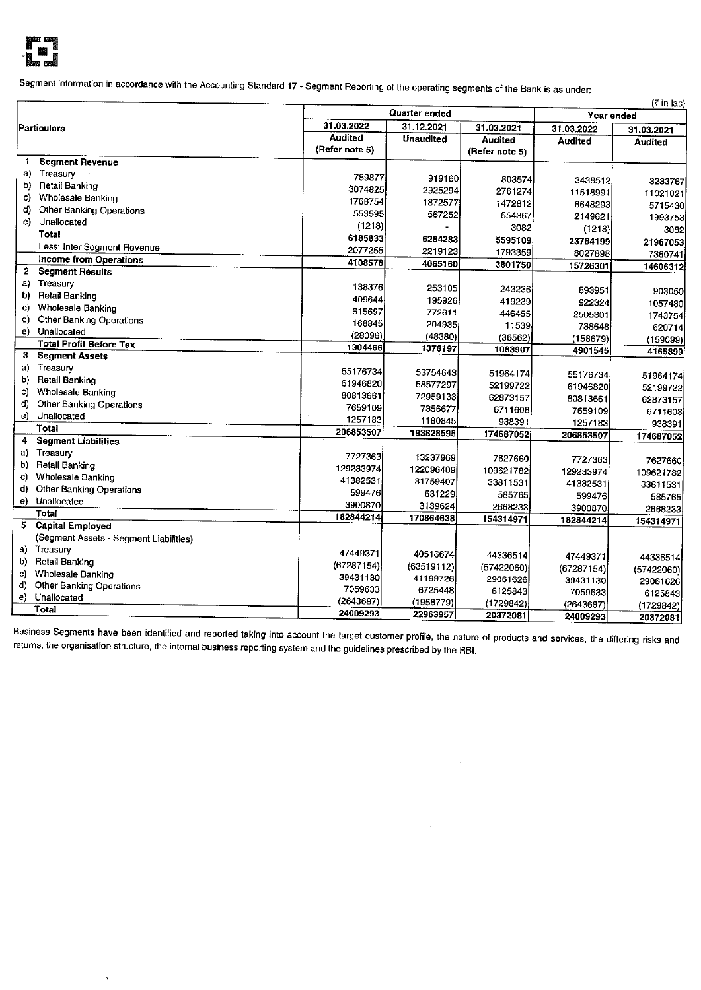

Segment information in accordance with the Accounting Standard 17 - Segment Reporting of the operating segments of the Bank is as under:

|             |                                        |                      |                   |                |                | (र in lac)     |
|-------------|----------------------------------------|----------------------|-------------------|----------------|----------------|----------------|
| Particulars |                                        | <b>Quarter ended</b> |                   |                | Year ended     |                |
|             |                                        | 31.03.2022           | 31.12.2021        | 31.03.2021     | 31.03.2022     | 31.03.2021     |
|             |                                        | <b>Audited</b>       | <b>Unaudited</b>  | Audited        | <b>Audited</b> | <b>Audited</b> |
|             |                                        | (Refer note 5)       |                   | (Refer note 5) |                |                |
| 1.          | <b>Segment Revenue</b>                 |                      |                   |                |                |                |
| a)          | Treasury                               | 789877               | 919160            | 803574         | 3438512        | 3233767        |
| b)          | Retail Banking                         | 3074825              | 2925294           | 2761274        | 11518991       | 11021021       |
| C)          | Wholesale Banking                      | 1768754              | 1872577           | 1472812        | 6648293        | 5715430        |
| d)          | Other Banking Operations               | 553595               | 567252            | 554367         | 2149621        | 1993753        |
| e).         | Unallocated                            | (1218)               |                   | 3082           | (1218)         | 30821          |
|             | <b>Total</b>                           | 6185833              | 6284283           | 5595109        |                |                |
|             | Less: Inter Segment Revenue            | 2077255              | 2219123           | 1793359        | 23754199       | 21967053       |
|             | Income from Operations                 | 4108578              | 4065160           | 3801750        | 8027898        | 7360741        |
| 2           | <b>Segment Results</b>                 |                      |                   |                | 15726301       | 14606312       |
| a)          | Treasury                               | 138376               | 253105            |                |                |                |
| b)          | <b>Retail Banking</b>                  | 409644               | 195926            | 243236         | 893951         | 903050         |
| C)          | Wholesale Banking                      | 615697               | 772611            | 419239         | 922324         | 1057480        |
| d)          | Other Banking Operations               | 168845               |                   | 446455         | 2505301        | 1743754        |
|             | e) Unallocated                         | (28096)              | 204935<br>(48380) | 11539          | 738648         | 620714         |
|             | <b>Total Profit Before Tax</b>         | 1304466              | 1378197           | (36562)        | (158679)       | (159099)       |
| з           | <b>Segment Assets</b>                  |                      |                   | 1083907        | 4901545        | 4165899        |
| a)          | Treasury                               | 55176734             | 53754643          |                |                |                |
| b)          | <b>Retail Banking</b>                  | 61946820             | 58577297          | 51964174       | 55176734       | 51964174       |
| C)          | Wholesale Banking                      | 80813661             | 72959133          | 52199722       | 61946820       | 52199722       |
| d)          | Other Banking Operations               | 7659109              |                   | 62873157       | 80813661       | 62873157       |
|             | e) Unallocated                         | 1257183              | 7356677           | 6711608        | 7659109        | 6711608        |
|             | Total                                  | 206853507            | 1180845           | 938391         | 1257183        | 938391         |
| 4           | <b>Segment Liabilities</b>             |                      | 193828595         | 174687052      | 206853507      | 174687052      |
| a)          | Treasury                               |                      |                   |                |                |                |
| b)          | <b>Retail Banking</b>                  | 7727363              | 13237969          | 7627660        | 7727363        | 7627660        |
| C)          | <b>Wholesale Banking</b>               | 129233974            | 122096409         | 109621782      | 129233974      | 109621782      |
| d)          | Other Banking Operations               | 41382531             | 31759407          | 33811531       | 41382531       | 33811531       |
|             | e) Unallocated                         | 599476               | 631229            | 585765         | 599476         | 585765         |
|             | <b>Total</b>                           | 3900870              | 3139624           | 2668233        | 3900870        | 2668233        |
| 5           | <b>Capital Employed</b>                | 182844214            | 170864638         | 154314971      | 182844214      | 154314971      |
|             | (Segment Assets - Segment Liabilities) |                      |                   |                |                |                |
|             | a) Treasury                            |                      |                   |                |                |                |
| b)          | <b>Retail Banking</b>                  | 47449371             | 40516674          | 44336514       | 47449371       | 44336514       |
| c)          | Wholesale Banking                      | (67287154)           | (63519112)        | (57422060)     | (67287154)     | (57422060)     |
| d)          | Other Banking Operations               | 39431130             | 41199726          | 29061626       | 39431130       | 29061626       |
| e)          | Unallocated                            | 7059633              | 6725448           | 6125843        | 7059633        | 6125843        |
|             | Total                                  | (2643687)            | (1958779)         | (1729842)      | (2643687)      | (1729842)      |
|             |                                        | 24009293             | 22963957          | 20372081       | 24009293       | 20372081       |

Business Segments have been identified and reported taking into account the target customer profile, the nature of products and services, the differing risks and returns, the organisation structure, the internal business reporting system and the guidelines prescribed by the RBI.

 $\bar{z}$ 

 $\hat{\mathbf{v}}$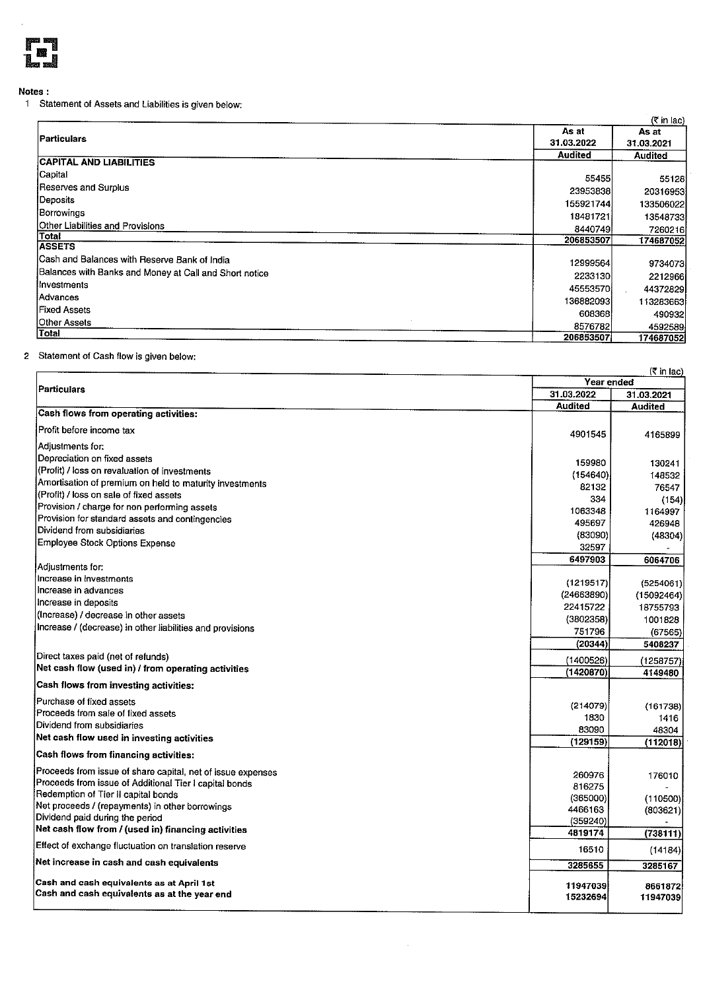

### Notes:

1 Statement of Assets and Liabilities is given below:

|                                                        |                | (< in lac)     |
|--------------------------------------------------------|----------------|----------------|
|                                                        | As at          | As at          |
| Particulars                                            | 31.03.2022     | 31.03.2021     |
|                                                        | <b>Audited</b> | <b>Audited</b> |
| <b>CAPITAL AND LIABILITIES</b>                         |                |                |
| <b>Capital</b>                                         | 55455          | 55128          |
| Reserves and Surplus                                   | 23953838       | 20316953       |
| Deposits                                               | 155921744      | 133506022      |
| Borrowings                                             | 18481721       | 13548733       |
| Other Liabilities and Provisions                       | 8440749        | 7260216        |
| Total                                                  | 206853507      | 174687052      |
| <b>ASSETS</b>                                          |                |                |
| Cash and Balances with Reserve Bank of India           | 12999564       | 9734073        |
| Balances with Banks and Money at Call and Short notice | 2233130        | 2212966        |
| Ilnvestments                                           | 45553570       | 44372829       |
| Advances                                               | 136882093      | 113283663      |
| Fixed Assets                                           | 608368         | 490932         |
| Other Assets                                           | 8576782        | 4592589        |
| <b>Total</b>                                           | 206853507      | 174687052      |

### 2 Statement of Cash flow is given below:

|                                                             | (₹ in lac)<br><b>Year ended</b> |                   |
|-------------------------------------------------------------|---------------------------------|-------------------|
| Particulars                                                 | 31.03.2022                      | 31.03.2021        |
|                                                             | <b>Audited</b>                  | <b>Audited</b>    |
| Cash flows from operating activities:                       |                                 |                   |
| Profit before income tax                                    | 4901545                         | 4165899           |
| Adjustments for:                                            |                                 |                   |
| Depreciation on fixed assets                                | 159980                          |                   |
| (Profit) / loss on revaluation of investments               | (154640)                        | 130241<br>148532  |
| Amortisation of premium on held to maturity investments     | 82132                           |                   |
| (Profit) / loss on sale of fixed assets                     | 334                             | 76547             |
| Provision / charge for non performing assets                | 1063348                         | (154)<br>1164997  |
| Provision for standard assets and contingencies             | 495697                          | 426948            |
| Dividend from subsidiaries                                  | (83090)                         | (48304)           |
| Employee Stock Options Expense                              | 32597                           |                   |
|                                                             | 6497903                         | 6064706           |
| Adjustments for:                                            |                                 |                   |
| Increase in investments                                     | (1219517)                       | (5254061)         |
| Increase in advances                                        | (24663890)                      | (15092464)        |
| Increase in deposits                                        | 22415722                        | 18755793          |
| (Increase) / decrease in other assets                       | (3802358)                       | 1001828           |
| Increase / (decrease) in other liabilities and provisions   | 751796                          | (67565)           |
|                                                             | (20344)                         | 5408237           |
| Direct taxes paid (net of refunds)                          | (1400526)                       | (1258757)         |
| Net cash flow (used in) / from operating activities         | (1420870)                       | 4149480           |
| Cash flows from investing activities:                       |                                 |                   |
| Purchase of fixed assets                                    |                                 |                   |
| Proceeds from sale of fixed assets                          | (214079)                        | (161738)          |
| Dividend from subsidiaries                                  | 1830<br>83090                   | 1416              |
| Net cash flow used in investing activities                  | (129159)                        | 48304<br>(112018) |
| Cash flows from financing activities:                       |                                 |                   |
| Proceeds from issue of share capital, net of issue expenses |                                 |                   |
| Proceeds from issue of Additional Tier I capital bonds      | 260976                          | 176010            |
| Redemption of Tier II capital bonds                         | 816275                          |                   |
| Net proceeds / (repayments) in other borrowings             | (365000)                        | (110500)          |
| Dividend paid during the period                             | 4466163<br>(359240)             | (803621)          |
| Net cash flow from / (used in) financing activities         | 4819174                         | (738111)          |
| Effect of exchange fluctuation on translation reserve       | 16510                           |                   |
| Net increase in cash and cash equivalents                   |                                 | (14184)           |
|                                                             | 3285655                         | 3285167           |
| Cash and cash equivalents as at April 1st                   | 11947039                        | 8661872           |
| Cash and cash equivalents as at the year end                | 15232694                        | 11947039          |
|                                                             |                                 |                   |

 $\hat{\boldsymbol{\beta}}$ 

 $\bar{z}$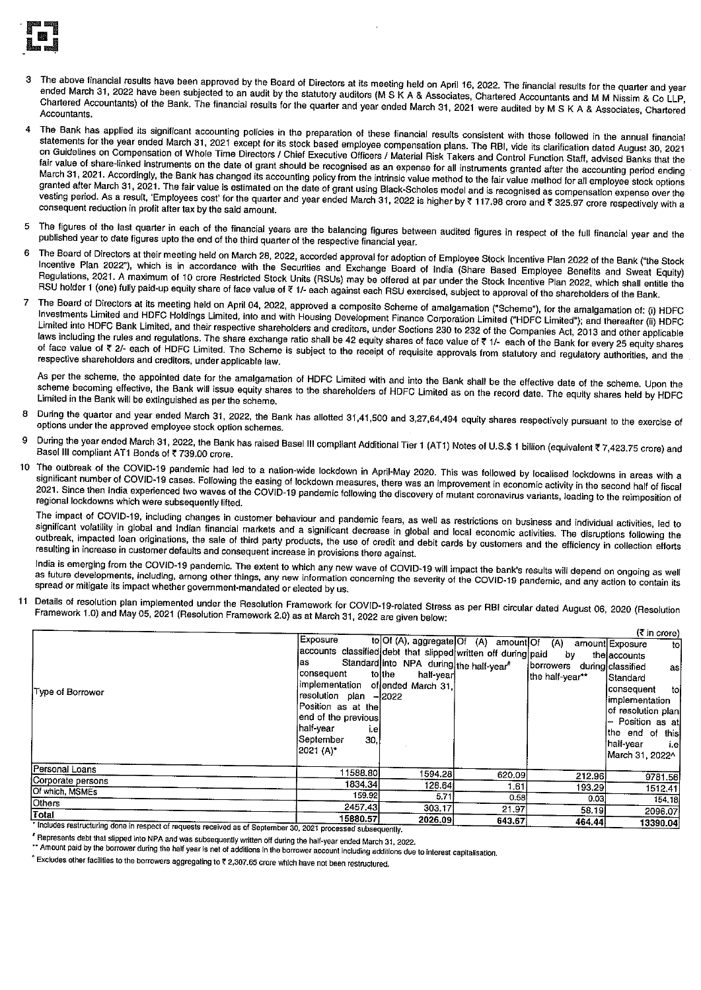

- The above financial results have been approved by the Board of Directors at its meeting held on April 16, 2022. The financial results for the quarter and year ended March 31, 2022 have been subjected to an audit by the statutory auditors (M S K A & Associates, Chartered Accountants and M M Nissim & Co LLP, Chartered Accountants) of the Bank. The financial results for the quarter and year ended March 31, 2021 were audited by M S K A & Associates, Chartered Accountants.
- The Bank has applied its significant accounting policies in the preparation of these financial results consistent with those followed in the annual financial  $\overline{A}$ statements for the year ended March 31, 2021 except for its stock based employee compensation plans. The RBI, vide its clarification dated August 30, 2021 on Guidelines on Compensation of Whole Time Directors / Chief Executive Officers / Material Risk Takers and Control Function Staff, advised Banks that the fair value of share-linked instruments on the date of grant should be recognised as an expense for all instruments granted after the accounting period ending March 31, 2021. Accordingly, the Bank has changed its accounting policy from the intrinsic value method to the fair value method for all employee stock options granted after March 31, 2021. The fair value is estimated on the date of grant using Black-Scholes model and is recognised as compensation expense over the vesting period. As a result, 'Employees cost' for the quarter and year ended March 31, 2022 is higher by ₹ 117.98 crore and ₹ 325.97 crore respectively with a consequent reduction in profit after tax by the said amount.
- The figures of the last quarter in each of the financial years are the balancing figures between audited figures in respect of the full financial year and the  $\overline{5}$ published year to date figures upto the end of the third quarter of the respective financial year.
- The Board of Directors at their meeting held on March 28, 2022, accorded approval for adoption of Employee Stock Incentive Plan 2022 of the Bank ("the Stock 6 Incentive Plan 2022"), which is in accordance with the Securities and Exchange Board of India (Share Based Employee Benefits and Sweat Equity) Regulations, 2021. A maximum of 10 crore Restricted Stock Units (RSUs) may be offered at par under the Stock Incentive Plan 2022, which shall entitle the RSU holder 1 (one) fully paid-up equity share of face value of ₹ 1/- each against each RSU exercised, subject to approval of the shareholders of the Bank.
- The Board of Directors at its meeting held on April 04, 2022, approved a composite Scheme of amalgamation ("Scheme"), for the amalgamation of: (i) HDFC  $\overline{7}$ Investments Limited and HDFC Holdings Limited, into and with Housing Development Finance Corporation Limited ("HDFC Limited"); and thereafter (ii) HDFC Limited into HDFC Bank Limited, and their respective shareholders and creditors, under Sections 230 to 232 of the Companies Act, 2013 and other applicable Laws including the rules and regulations. The share exchange ratio shall be 42 equity shares of face value of ₹ 1/- each of the Bank for every 25 equity shares of face value of ₹ 2/- each of HDFC Limited. The Scheme is subject to the receipt of requisite approvals from statutory and regulatory authorities, and the respective shareholders and creditors, under applicable law.

As per the scheme, the appointed date for the amalgamation of HDFC Limited with and into the Bank shall be the effective date of the scheme. Upon the scheme becoming effective, the Bank will issue equity shares to the shareholders of HDFC Limited as on the record date. The equity shares held by HDFC Limited in the Bank will be extinguished as per the scheme.

- During the quarter and year ended March 31, 2022, the Bank has allotted 31,41,500 and 3,27,64,494 equity shares respectively pursuant to the exercise of options under the approved employee stock option schemes.
- During the year ended March 31, 2022, the Bank has raised Basel III compliant Additional Tier 1 (AT1) Notes of U.S.\$ 1 billion (equivalent ₹7,423.75 crore) and Basel III compliant AT1 Bonds of ₹739.00 crore.
- The outbreak of the COVID-19 pandemic had led to a nation-wide lockdown in April-May 2020. This was followed by localised lockdowns in areas with a 10 significant number of COVID-19 cases. Following the easing of lockdown measures, there was an improvement in economic activity in the second half of fiscal 2021. Since then India experienced two waves of the COVID-19 pandemic following the discovery of mutant coronavirus variants, leading to the reimposition of regional lockdowns which were subsequently lifted.

The impact of COVID-19, including changes in customer behaviour and pandemic fears, as well as restrictions on business and individual activities, led to significant volatility in global and Indian financial markets and a significant decrease in global and local economic activities. The disruptions following the outbreak, impacted loan originations, the sale of third party products, the use of credit and debit cards by customers and the efficiency in collection efforts resulting in increase in customer defaults and consequent increase in provisions there against.

India is emerging from the COVID-19 pandemic. The extent to which any new wave of COVID-19 will impact the bank's results will depend on ongoing as well as future developments, including, among other things, any new information concerning the severity of the COVID-19 pandemic, and any action to contain its spread or mitigate its impact whether government-mandated or elected by us.

Details of resolution plan implemented under the Resolution Framework for COVID-19-related Stress as per RBI circular dated August 06, 2020 (Resolution 11 Framework 1.0) and May 05, 2021 (Resolution Framework 2.0) as at March 31, 2022 are given below:

|                                                                     |                                                               |                                         |                                           |                             | (₹ in crore)           |
|---------------------------------------------------------------------|---------------------------------------------------------------|-----------------------------------------|-------------------------------------------|-----------------------------|------------------------|
|                                                                     | Exposure                                                      |                                         | to Of (A), aggregate Of (A) amount Of (A) |                             | amount Exposure<br>tol |
|                                                                     | accounts classified debt that slipped written off during paid |                                         |                                           | by                          | the accounts           |
|                                                                     | las                                                           | Standard into NPA during the half-year" |                                           | borrowers during classified | asl                    |
|                                                                     | consequent                                                    | tolthe<br>half-yearl                    |                                           | the half-year**             | Standard               |
| Type of Borrower                                                    | implementation of ended March 31.                             |                                         |                                           |                             | consequent<br>tol      |
|                                                                     | resolution plan -2022                                         |                                         |                                           |                             | limplementation        |
|                                                                     | Position as at the                                            |                                         |                                           |                             | of resolution plan     |
|                                                                     | end of the previous                                           |                                         |                                           |                             | - Position as at       |
|                                                                     | half-vear<br>i.el                                             |                                         |                                           |                             | the end of this        |
|                                                                     | September<br>30.                                              |                                         |                                           |                             | half-vear<br>i.el      |
|                                                                     | (2021 (A)*                                                    |                                         |                                           |                             | March 31, 2022^1       |
| Personal Loans                                                      | 11588.80                                                      | 1594.281                                | 620.09                                    |                             |                        |
| Corporate persons                                                   | 1834.341                                                      | 128.64                                  |                                           | 212.96                      | 9781.56                |
| Of which, MSMEs                                                     | 159.92                                                        | 5.71                                    | 1,61                                      | 193.29                      | 1512.41                |
| Others                                                              | 2457,43                                                       |                                         | 0.58                                      | 0.03 <sub>1</sub>           | 154.18                 |
| Total                                                               |                                                               | 303.17                                  | 21.97                                     | 58.19                       | 2096.07                |
| $\frac{1}{2}$ trobidge section the does in section of $\frac{1}{2}$ | 15880.57                                                      | 2026.09                                 | 643.67                                    | 464.44                      | 13390.04               |

Includes restructuring done in respect of requests received as of September 30, 2021 processed subsequently.

Feepresents debt that slipped into NPA and was subsequently written off during the half-year ended March 31, 2022.

\*\* Amount paid by the borrower during the half year is net of additions in the borrower account including additions due to interest capitalisation.

^ Excludes other facilities to the borrowers aggregating to ₹ 2,307.65 crore which have not been restructured.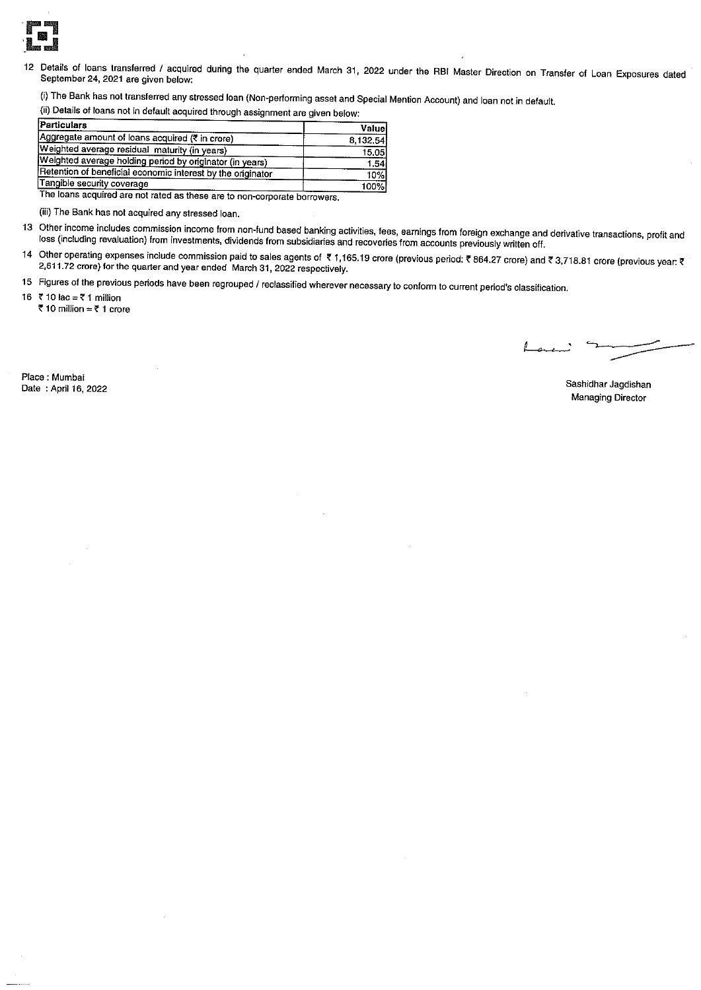

Details of loans transferred / acquired during the quarter ended March 31, 2022 under the RBI Master Direction on Transfer of Loan Exposures dated  $12$ September 24, 2021 are given below:

(i) The Bank has not transferred any stressed loan (Non-performing asset and Special Mention Account) and loan not in default.

(ii) Details of loans not in default acquired through assignment are given below:

| Particulars                                                 | Valuel   |
|-------------------------------------------------------------|----------|
| Aggregate amount of loans acquired (₹ in crore)             | 8,132.54 |
| Weighted average residual maturity (in years)               | 15.05    |
| Weighted average holding period by originator (in years)    | 1,541    |
| Retention of beneficial economic interest by the originator | 10%l     |
| Tangible security coverage                                  | 100%)    |

The loans acquired are not rated as these are to non-corporate borrowers.

(iii) The Bank has not acquired any stressed loan.

- 13 Other income includes commission income from non-fund based banking activities, fees, earnings from foreign exchange and derivative transactions, profit and loss (including revaluation) from investments, dividends from subsidiaries and recoveries from accounts previously written off.
- 14 Other operating expenses include commission paid to sales agents of ₹1,165.19 crore (previous period: ₹864.27 crore) and ₹3,718.81 crore (previous year: ₹ 2,611.72 crore) for the quarter and year ended March 31, 2022 respectively.
- 15 Figures of the previous periods have been regrouped / reclassified wherever necessary to conform to current period's classification.

16 ₹ 10 lac = ₹ 1 million

₹10 million = ₹1 crore

Place : Mumbai Date: April 16, 2022

Sashidhar Jagdishan **Managing Director**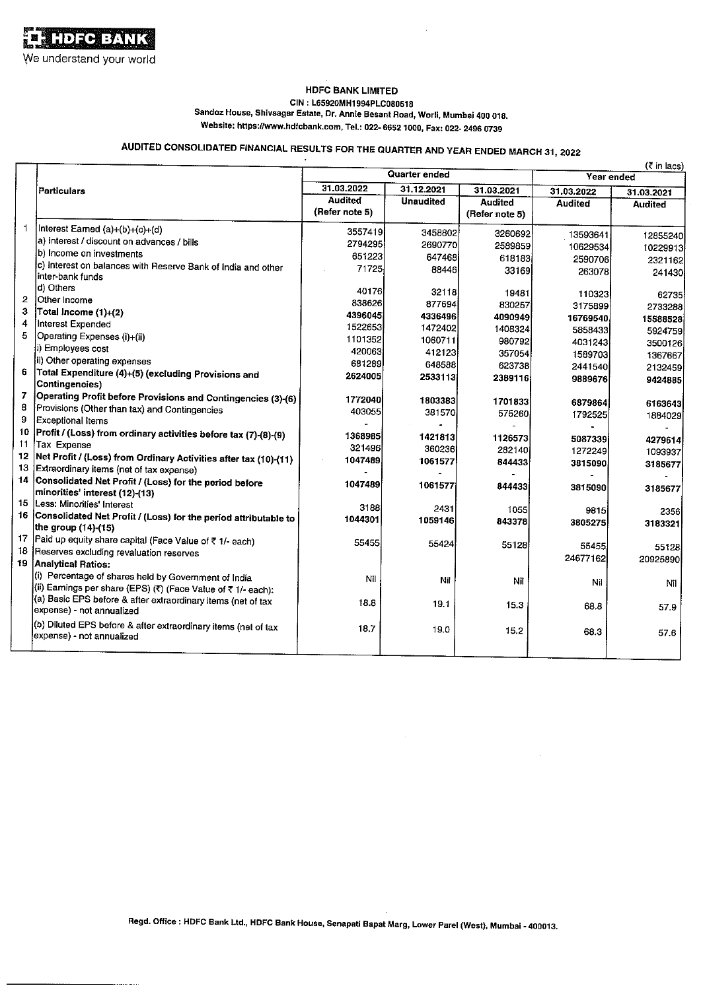#### **HDFC BANK LIMITED** CIN: L65920MH1994PLC080618

Sandoz House, Shivsagar Estate, Dr. Annie Besant Road, Worli, Mumbai 400 018.

Website: https://www.hdfcbank.com, Tel.: 022- 6652 1000, Fax: 022- 2496 0739

# AUDITED CONSOLIDATED FINANCIAL RESULTS FOR THE QUARTER AND YEAR ENDED MARCH 31, 2022

|                |                                                                                             |                |                  |                |                | $(3 \nmid n \rceil)$ |
|----------------|---------------------------------------------------------------------------------------------|----------------|------------------|----------------|----------------|----------------------|
|                |                                                                                             |                | Quarter ended    |                |                | Year ended           |
|                | Particulars                                                                                 | 31.03.2022     | 31.12.2021       | 31.03.2021     | 31.03.2022     | 31.03.2021           |
|                |                                                                                             | <b>Audited</b> | <b>Unaudited</b> | <b>Audited</b> | <b>Audited</b> | <b>Audited</b>       |
|                |                                                                                             | (Refer note 5) |                  | (Refer note 5) |                |                      |
|                | Interest Earned (a)+(b)+(c)+(d)                                                             | 3557419        | 3458802          | 3260692        | 13593641       | 12855240             |
|                | a) interest / discount on advances / bills                                                  | 2794295        | 2690770          | 2589859        | 10629534       | 10229913             |
|                | b) Income on investments                                                                    | 651223         | 647468           | 618183         | 2590706        | 2321162              |
|                | c) Interest on balances with Reserve Bank of India and other                                | 71725          | 88446            | 33169          | 263078         | 241430               |
|                | linter-bank funds                                                                           |                |                  |                |                |                      |
|                | d) Others                                                                                   | 40176          | 32118            | 19481          | 110323         | 62735                |
| 2              | Other Income                                                                                | 838626         | 877694           | 830257         | 3175899        | 2733288              |
| 3              | Total Income (1)+(2)                                                                        | 4396045        | 4336496          | 4090949        | 16769540       | 15588528             |
| 4              | Interest Expended                                                                           | 1522653        | 1472402          | 1408324        | 5858433        | 5924759              |
| 5              | Operating Expenses (i)+(ii)                                                                 | 1101352        | 1060711          | 980792         | 4031243        | 3500126              |
|                | i) Employees cost                                                                           | 420063         | 412123           | 357054         | 1589703        | 1367667              |
|                | ii) Other operating expenses                                                                | 681289         | 648588           | 623738         | 2441540        | 2132459              |
| 6              | Total Expenditure (4)+(5) (excluding Provisions and                                         | 2624005        | 2533113          | 2389116        | 9889676        | 9424885              |
|                | Contingencies)                                                                              |                |                  |                |                |                      |
| $\overline{7}$ | Operating Profit before Provisions and Contingencies (3)-(6)                                | 1772040        | 1803383          | 1701833        | 6879864        | 6163643              |
| 8              | Provisions (Other than tax) and Contingencies                                               | 403055         | 381570           | 575260         | 1792525        | 1884029              |
| 9              | Exceptional Items                                                                           |                |                  |                |                |                      |
| 10             | Profit / (Loss) from ordinary activities before tax (7)-(8)-(9)                             | 1368985        | 1421813          | 1126573        | 5087339        | 4279614              |
| 11             | Tax Expense                                                                                 | 321496         | 360236           | 282140         | 1272249        | 1093937              |
| 12             | Net Profit / (Loss) from Ordinary Activities after tax (10)-(11)                            | 1047489        | 1061577          | 844433         | 3815090        | 3185677              |
| 13             | Extraordinary items (net of tax expense)                                                    |                |                  |                |                |                      |
| 14             | Consolidated Net Profit / (Loss) for the period before                                      | 1047489        | 1061577          | 844433         | 3815090        | 3185677              |
|                | minorities' interest (12)-(13)<br>15  Less: Minorities' Interest                            |                |                  |                |                |                      |
|                |                                                                                             | 3188           | 2431             | 1055           | 9815           | 2356                 |
|                | 16 Consolidated Net Profit / (Loss) for the period attributable to<br>the group (14)-(15)   | 1044301        | 1059146          | 843378         | 3805275        | 3183321              |
| 17             | Paid up equity share capital (Face Value of ₹ 1/- each)                                     |                |                  |                |                |                      |
| 18             | Reserves excluding revaluation reserves                                                     | 55455          | 55424            | 55128          | 55455          | 55128                |
| 19             | <b>Analytical Ratios:</b>                                                                   |                |                  |                | 24677162       | 20925890             |
|                | (i) Percentage of shares held by Government of India                                        |                |                  |                |                |                      |
|                | (ii) Earnings per share (EPS) (₹) (Face Value of ₹ 1/- each):                               | Nil            | Nil              | Nil            | Nil            | Nil                  |
|                | (a) Basic EPS before & after extraordinary items (net of tax                                |                |                  |                |                |                      |
|                | expense) - not annualized                                                                   | 18.8           | 19.1             | 15.3           | 68.8           | 57.9                 |
|                |                                                                                             |                |                  |                |                |                      |
|                | (b) Diluted EPS before & after extraordinary items (net of tax<br>expense) - not annualized | 18.7           | 19.0             | 15.2           | 68.3           | 57.6                 |
|                |                                                                                             |                |                  |                |                |                      |
|                |                                                                                             |                |                  |                |                |                      |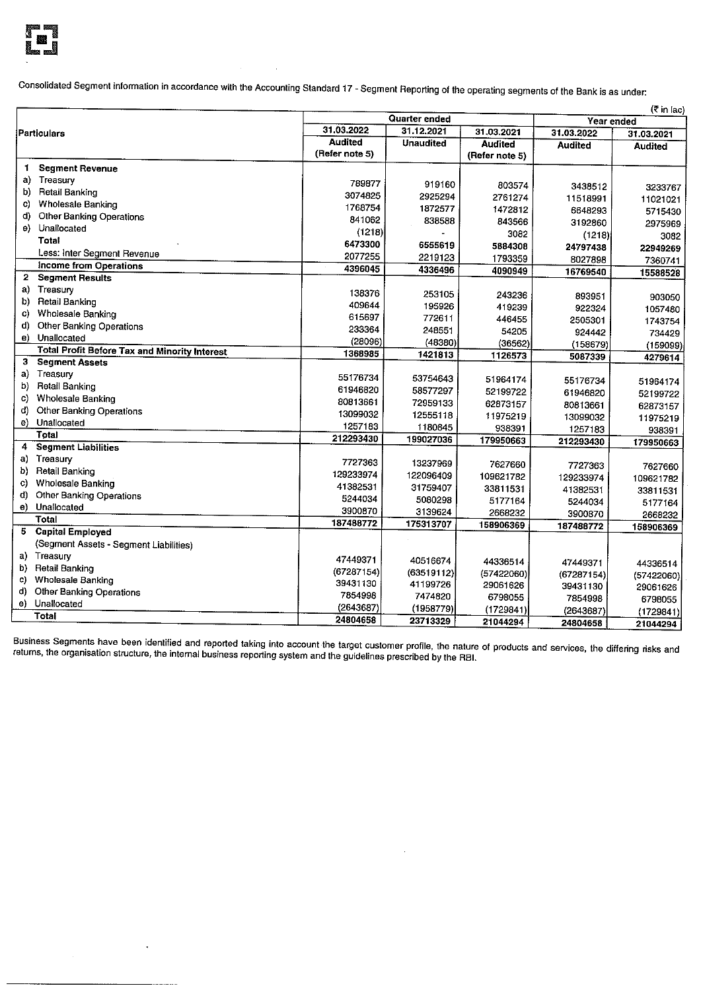

Consolidated Segment information in accordance with the Accounting Standard 17 - Segment Reporting of the operating segments of the Bank is as under:

|              | Quarter ended<br>Year ended                          |                |                  |                           |                        | (र in lac)     |
|--------------|------------------------------------------------------|----------------|------------------|---------------------------|------------------------|----------------|
|              |                                                      | 31.03.2022     | 31.12.2021       | 31.03.2021                |                        |                |
|              | Particulars                                          | <b>Audited</b> | <b>Unaudited</b> |                           | 31.03.2022             | 31.03.2021     |
|              |                                                      | (Refer note 5) |                  | Audited<br>(Refer note 5) | Audited                | <b>Audited</b> |
| 1            | <b>Segment Revenue</b>                               |                |                  |                           |                        |                |
| a)           | Treasury                                             |                |                  |                           |                        |                |
| b)           | Retail Banking                                       | 789877         | 919160           | 803574                    | 3438512                | 3233767        |
| C)           | <b>Wholesale Banking</b>                             | 3074825        | 2925294          | 2761274                   | 11518991               | 11021021       |
| d)           | Other Banking Operations                             | 1768754        | 1872577          | 1472812                   | 6648293                | 5715430        |
| e)           | Unallocated                                          | 841062         | 838588           | 843566                    | 3192860                | 2975969        |
|              | Total                                                | (1218)         |                  | 3082                      | (1218))                | 3082           |
|              |                                                      | 6473300        | 6555619          | 5884308                   | 24797438               | 22949269       |
|              | Less: Inter Segment Revenue                          | 2077255        | 2219123          | 1793359                   | 8027898                | 7360741        |
| $\mathbf{2}$ | <b>Income from Operations</b>                        | 4396045        | 4336496          | 4090949                   | 16769540               | 15588528       |
|              | <b>Segment Results</b>                               |                |                  |                           |                        |                |
| a)           | Treasury                                             | 138376         | 253105           | 243236                    | 893951                 | 903050         |
| b)           | <b>Retail Banking</b>                                | 409644         | 195926           | 419239                    | 922324                 | 1057480        |
| C)           | <b>Wholesale Banking</b>                             | 615697         | 772611           | 446455                    | 2505301                | 1743754        |
| ď)           | Other Banking Operations                             | 233364         | 248551           | 54205                     | 924442                 | 734429         |
| e)           | Unallocated                                          | (28096)        | (48380)          | (36562)                   | (158679)               | (159099)       |
|              | <b>Total Profit Before Tax and Minority Interest</b> | 1368985        | 1421813          | 1126573                   | 5087339                | 4279614        |
| 3            | <b>Segment Assets</b>                                |                |                  |                           |                        |                |
|              | a) Treasury                                          | 55176734       | 53754643         | 51964174                  | 55176734               | 51964174       |
| b)           | <b>Retail Banking</b>                                | 61946820       | 58577297         | 52199722                  | 61946820               | 52199722       |
| C)           | <b>Wholesale Banking</b>                             | 80813661       | 72959133         | 62873157                  | 80813661               | 62873157       |
| d)           | Other Banking Operations                             | 13099032       | 12555118         | 11975219                  | 13099032               | 11975219       |
| e)           | Unallocated                                          | 1257183        | 1180845          | 938391                    | 1257183                | 938391         |
|              | Total                                                | 212293430      | 199027036        | 179950663                 | 212293430              | 179950663      |
| 4            | <b>Segment Liabilities</b>                           |                |                  |                           |                        |                |
| a)           | Treasury                                             | 7727363        | 13237969         | 7627660                   | 7727363                | 7627660        |
| b)           | <b>Retail Banking</b>                                | 129233974      | 122096409        | 109621782                 | 129233974              | 109621782      |
| C)           | <b>Wholesale Banking</b>                             | 41382531       | 31759407         | 33811531                  | 41382531               | 33811531       |
| d)           | Other Banking Operations                             | 5244034        | 5080298          | 5177164                   | 5244034                | 5177164        |
|              | e) Unallocated                                       | 3900870        | 3139624          | 2668232                   | 3900870                | 2668232        |
|              | Total                                                | 187488772      | 175313707        | 158906369                 | 187488772              |                |
|              | 5 Capital Employed                                   |                |                  |                           |                        | 158906369      |
|              | (Segment Assets - Segment Liabilities)               |                |                  |                           |                        |                |
|              | a) Treasury                                          | 47449371       | 40516674         | 44336514                  | 47449371               |                |
| b)           | <b>Retail Banking</b>                                | (67287154)     | (63519112)       | (57422060)                |                        | 44336514       |
| C)           | Wholesale Banking                                    | 39431130       | 41199726         | 29061626                  | (67287154)<br>39431130 | (57422060)     |
| d)           | Other Banking Operations                             | 7854998        | 7474820          | 6798055                   |                        | 29061626       |
| e)           | Unallocated                                          | (2643687)      | (1958779)        | (1729841)                 | 7854998                | 6798055        |
|              | Total                                                | 24804658       | 23713329         | 21044294                  | (2643687)              | (1729841)      |
|              |                                                      |                |                  |                           | 24804658               | 21044294       |

Business Segments have been identified and reported taking into account the target customer profile, the nature of products and services, the differing risks and<br>returns, the organisation structure, the internal business r

 $\ddot{\phantom{a}}$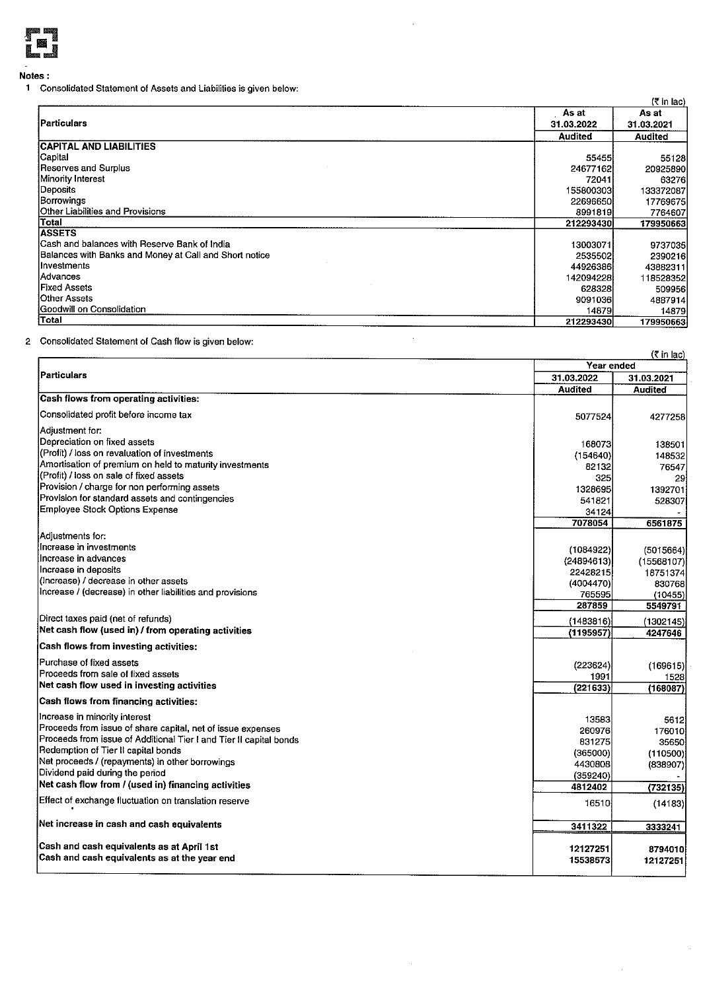

Notes:

1 Consolidated Statement of Assets and Liabilities is given below:

|                                                        |                | (₹ in lac)     |
|--------------------------------------------------------|----------------|----------------|
|                                                        | As at          | As at          |
| <b>Particulars</b>                                     | 31.03.2022     | 31.03.2021     |
|                                                        | <b>Audited</b> | <b>Audited</b> |
| <b>CAPITAL AND LIABILITIES</b>                         |                |                |
| Capital                                                | 55455          | 55128          |
| Reserves and Surplus                                   | 24677162       | 20925890       |
| Minority Interest                                      | 72041          | 63276          |
| Deposits                                               | 155800303      | 133372087      |
| Borrowings                                             | 22696650       | 17769675       |
| Other Liabilities and Provisions                       | 8991819        | 7764607        |
| Total                                                  | 212293430      | 179950663      |
| <b>ASSETS</b>                                          |                |                |
| Cash and balances with Reserve Bank of India           | 13003071       | 9737035        |
| Balances with Banks and Money at Call and Short notice | 2535502        | 2390216        |
| Investments                                            | 44926386       | 43882311       |
| lAdvances                                              | 142094228      | 118528352      |
| Fixed Assets                                           | 628328         | 509956         |
| Other Assets                                           | 9091036        | 4887914        |
| Goodwill on Consolidation                              | 14879          | 14879          |
| Total                                                  | 212293430      | 179950663      |

2 Consolidated Statement of Cash flow is given below:

| (र in lac)                                                         |                |                |  |  |
|--------------------------------------------------------------------|----------------|----------------|--|--|
|                                                                    | Year ended     |                |  |  |
| Particulars                                                        | 31.03.2022     | 31.03.2021     |  |  |
|                                                                    | <b>Audited</b> | <b>Audited</b> |  |  |
| Cash flows from operating activities:                              |                |                |  |  |
| Consolidated profit before income tax                              | 5077524        | 4277258        |  |  |
| Adjustment for:                                                    |                |                |  |  |
| Depreciation on fixed assets                                       | 168073         | 138501         |  |  |
| (Profit) / loss on revaluation of investments                      | (154640)       | 148532         |  |  |
| Amortisation of premium on held to maturity investments            | 82132          | 76547          |  |  |
| (Profit) / loss on sale of fixed assets                            | 325            | 29             |  |  |
| Provision / charge for non performing assets                       | 1328695        | 1392701        |  |  |
| Provision for standard assets and contingencies                    | 541821         | 528307         |  |  |
| Employee Stock Options Expense                                     | 34124          |                |  |  |
|                                                                    | 7078054        | 6561875        |  |  |
| Adjustments for:                                                   |                |                |  |  |
| lincrease in investments                                           | (1084922)      | (5015664)      |  |  |
| Increase in advances                                               | (24894613)     | (15568107)     |  |  |
| Increase in deposits                                               | 22428215       | 18751374       |  |  |
| (Increase) / decrease in other assets                              | (4004470)      | 830768         |  |  |
| Increase / (decrease) in other liabilities and provisions          | 765595         | (10455)        |  |  |
|                                                                    | 287859         | 5549791        |  |  |
| Direct taxes paid (net of refunds)                                 | (1483816)      | (1302145)      |  |  |
| Net cash flow (used in) / from operating activities                | (1195957)      | 4247646        |  |  |
| Cash flows from investing activities:                              |                |                |  |  |
| Purchase of fixed assets                                           | (223624)       | (169615)       |  |  |
| Proceeds from sale of fixed assets                                 | 1991           | 1528           |  |  |
| Net cash flow used in investing activities                         | (221633)       | (168087)       |  |  |
| Cash flows from financing activities:                              |                |                |  |  |
| Increase in minority interest                                      | 13583          | 5612           |  |  |
| Proceeds from issue of share capital, net of issue expenses        | 260976         | 176010         |  |  |
| Proceeds from issue of Additional Tier I and Tier II capital bonds | 831275         | 35650          |  |  |
| Redemption of Tier II capital bonds                                | (365000)       | (110500)       |  |  |
| Net proceeds / (repayments) in other borrowings                    | 4430808        | (838907)       |  |  |
| Dividend paid during the period                                    | (359240)       |                |  |  |
| Net cash flow from / (used in) financing activities                | 4812402        | (732135)       |  |  |
| Effect of exchange fluctuation on translation reserve              | 16510          | (14183)        |  |  |
| Net increase in cash and cash equivalents                          | 3411322        | 3333241        |  |  |
|                                                                    |                |                |  |  |
| Cash and cash equivalents as at April 1st                          | 12127251       | 8794010        |  |  |
| Cash and cash equivalents as at the year end                       | 15538573       | 12127251       |  |  |
|                                                                    |                |                |  |  |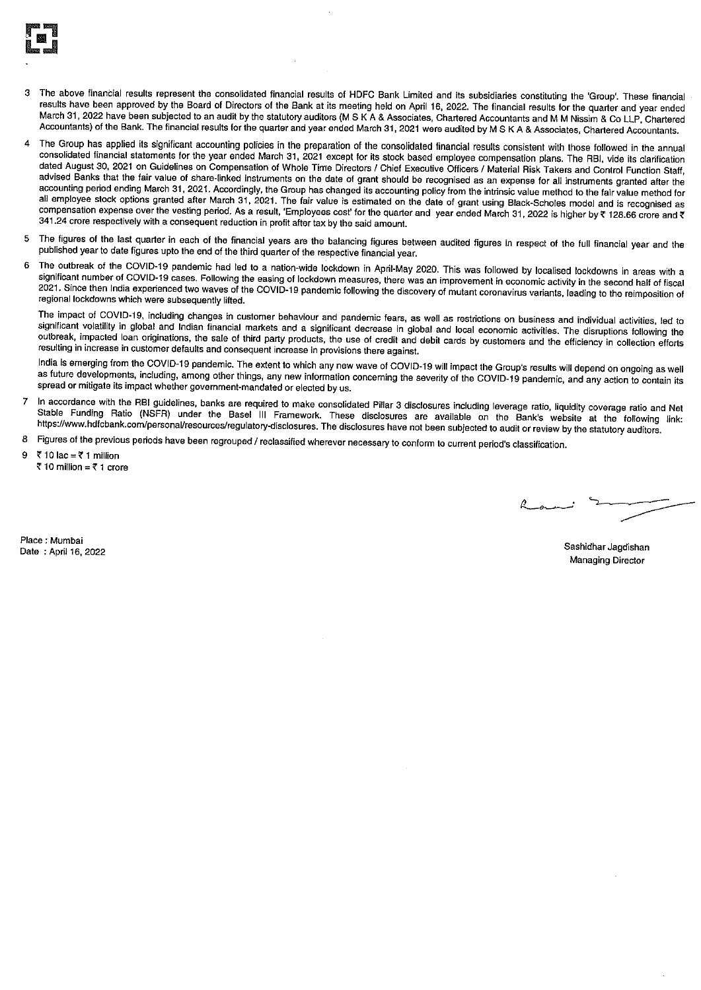

- The above financial results represent the consolidated financial results of HDFC Bank Limited and its subsidiaries constituting the 'Group'. These financial results have been approved by the Board of Directors of the Bank at its meeting held on April 16, 2022. The financial results for the quarter and year ended March 31, 2022 have been subjected to an audit by the statutory auditors (M S K A & Associates, Chartered Accountants and M M Nissim & Co LLP, Chartered Accountants) of the Bank. The financial results for the quarter and year ended March 31, 2021 were audited by M S K A & Associates, Chartered Accountants.
- The Group has applied its significant accounting policies in the preparation of the consolidated financial results consistent with those followed in the annual  $\boldsymbol{\Lambda}$ consolidated financial statements for the year ended March 31, 2021 except for its stock based employee compensation plans. The RBI, vide its clarification dated August 30, 2021 on Guidelines on Compensation of Whole Time Directors / Chief Executive Officers / Material Risk Takers and Control Function Staff, advised Banks that the fair value of share-linked instruments on the date of grant should be recognised as an expense for all instruments granted after the accounting period ending March 31, 2021. Accordingly, the Group has changed its accounting policy from the intrinsic value method to the fair value method for all employee stock options granted after March 31, 2021. The fair value is estimated on the date of grant using Black-Scholes model and is recognised as compensation expense over the vesting period. As a result, 'Employees cost' for the quarter and year ended March 31, 2022 is higher by ₹ 128.66 crore and ₹ 341.24 crore respectively with a consequent reduction in profit after tax by the said amount.
- The figures of the last quarter in each of the financial years are the balancing figures between audited figures in respect of the full financial year and the 5 published year to date figures upto the end of the third quarter of the respective financial year.
- The outbreak of the COVID-19 pandemic had led to a nation-wide lockdown in April-May 2020. This was followed by localised lockdowns in areas with a 6 significant number of COVID-19 cases. Following the easing of lockdown measures, there was an improvement in economic activity in the second half of fiscal 2021. Since then India experienced two waves of the COVID-19 pandemic following the discovery of mutant coronavirus variants, leading to the reimposition of regional lockdowns which were subsequently lifted.

The impact of COVID-19, including changes in customer behaviour and pandemic fears, as well as restrictions on business and individual activities, led to significant volatility in global and Indian financial markets and a significant decrease in global and local economic activities. The disruptions following the outbreak, impacted loan originations, the sale of third party products, the use of credit and debit cards by customers and the efficiency in collection efforts resulting in increase in customer defaults and consequent increase in provisions there against.

India is emerging from the COVID-19 pandemic. The extent to which any new wave of COVID-19 will impact the Group's results will depend on ongoing as well as future developments, including, among other things, any new information concerning the severity of the COVID-19 pandemic, and any action to contain its spread or mitigate its impact whether government-mandated or elected by us.

- In accordance with the RBI guidelines, banks are required to make consolidated Pillar 3 disclosures including leverage ratio, liquidity coverage ratio and Net  $\overline{7}$ Stable Funding Ratio (NSFR) under the Basel III Framework. These disclosures are available on the Bank's website at the following link: https://www.hdfcbank.com/personal/resources/regulatory-disclosures. The disclosures have not been subjected to audit or review by the statutory auditors.
- Figures of the previous periods have been regrouped / reclassified wherever necessary to conform to current period's classification. 8
- ₹10 lac = ₹1 million ₹ 10 million = ₹ 1 crore

Place: Mumbai Date: April 16, 2022

Sashidhar Jagdishan **Managing Director**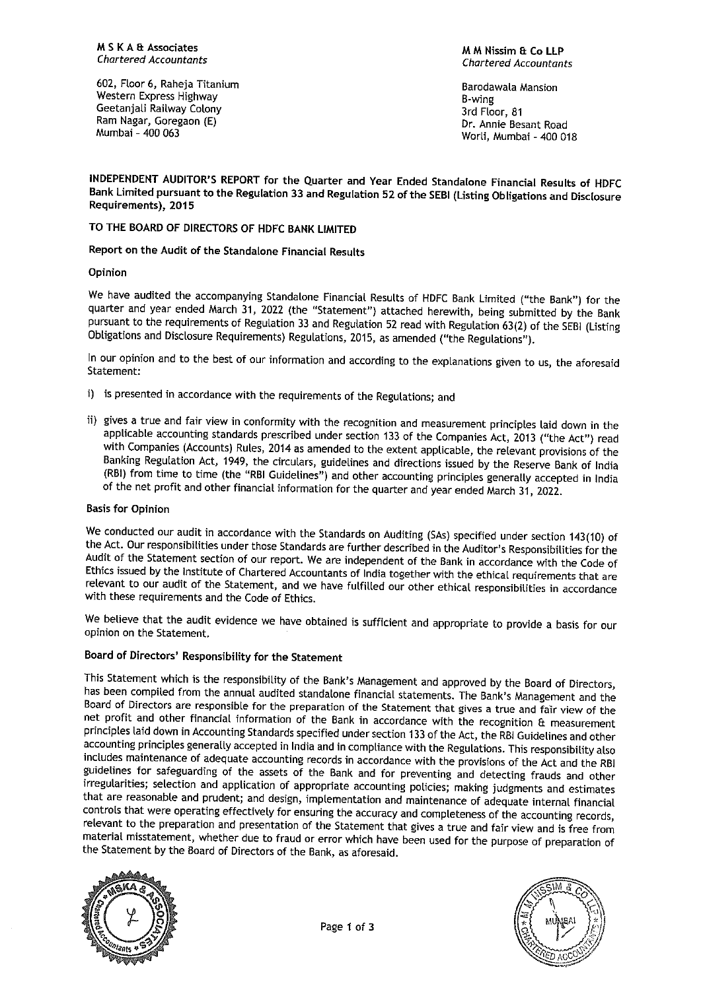602, Floor 6, Raheja Titanium Western Express Highway Geetanjali Railway Colony Ram Nagar, Goregaon (E) Mumbai - 400 063

#### M M Nissim & Co I I P **Chartered Accountants**

**Barodawala Mansion B-wing** 3rd Floor, 81 Dr. Annie Besant Road Worli, Mumbai - 400 018

INDEPENDENT AUDITOR'S REPORT for the Quarter and Year Ended Standalone Financial Results of HDFC Bank Limited pursuant to the Regulation 33 and Regulation 52 of the SEBI (Listing Obligations and Disclosure Requirements), 2015

TO THE BOARD OF DIRECTORS OF HDFC BANK LIMITED

Report on the Audit of the Standalone Financial Results

Opinion

We have audited the accompanying Standalone Financial Results of HDFC Bank Limited ("the Bank") for the quarter and year ended March 31, 2022 (the "Statement") attached herewith, being submitted by the Bank pursuant to the requirements of Regulation 33 and Regulation 52 read with Regulation 63(2) of the SEBI (Listing Obligations and Disclosure Requirements) Regulations, 2015, as amended ("the Regulations").

In our opinion and to the best of our information and according to the explanations given to us, the aforesaid Statement:

- i) is presented in accordance with the requirements of the Regulations; and
- ii) gives a true and fair view in conformity with the recognition and measurement principles laid down in the applicable accounting standards prescribed under section 133 of the Companies Act, 2013 ("the Act") read with Companies (Accounts) Rules, 2014 as amended to the extent applicable, the relevant provisions of the Banking Regulation Act, 1949, the circulars, guidelines and directions issued by the Reserve Bank of India (RBI) from time to time (the "RBI Guidelines") and other accounting principles generally accepted in India of the net profit and other financial information for the quarter and year ended March 31, 2022.

#### **Basis for Opinion**

We conducted our audit in accordance with the Standards on Auditing (SAs) specified under section 143(10) of the Act. Our responsibilities under those Standards are further described in the Auditor's Responsibilities for the Audit of the Statement section of our report. We are independent of the Bank in accordance with the Code of Ethics issued by the Institute of Chartered Accountants of India together with the ethical requirements that are relevant to our audit of the Statement, and we have fulfilled our other ethical responsibilities in accordance with these requirements and the Code of Ethics.

We believe that the audit evidence we have obtained is sufficient and appropriate to provide a basis for our opinion on the Statement.

## Board of Directors' Responsibility for the Statement

This Statement which is the responsibility of the Bank's Management and approved by the Board of Directors, has been compiled from the annual audited standalone financial statements. The Bank's Management and the Board of Directors are responsible for the preparation of the Statement that gives a true and fair view of the net profit and other financial information of the Bank in accordance with the recognition & measurement principles laid down in Accounting Standards specified under section 133 of the Act, the RBI Guidelines and other accounting principles generally accepted in India and in compliance with the Regulations. This responsibility also includes maintenance of adequate accounting records in accordance with the provisions of the Act and the RBI guidelines for safeguarding of the assets of the Bank and for preventing and detecting frauds and other irregularities; selection and application of appropriate accounting policies; making judgments and estimates that are reasonable and prudent; and design, implementation and maintenance of adequate internal financial controls that were operating effectively for ensuring the accuracy and completeness of the accounting records, relevant to the preparation and presentation of the Statement that gives a true and fair view and is free from material misstatement, whether due to fraud or error which have been used for the purpose of preparation of the Statement by the Board of Directors of the Bank, as aforesaid.



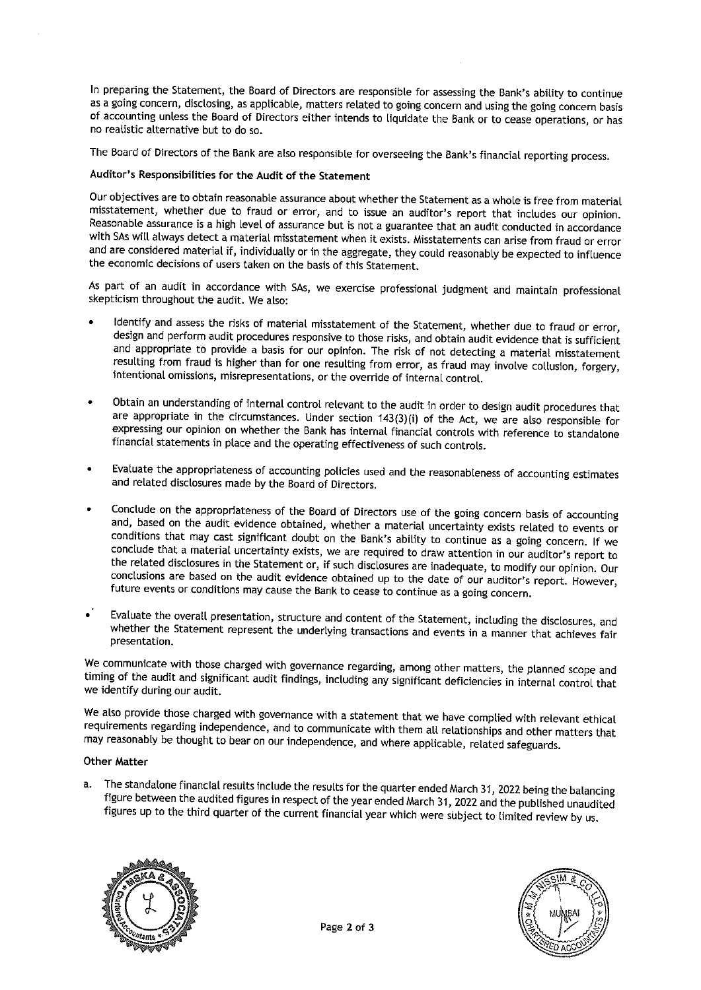In preparing the Statement, the Board of Directors are responsible for assessing the Bank's ability to continue as a going concern, disclosing, as applicable, matters related to going concern and using the going concern basis of accounting unless the Board of Directors either intends to liquidate the Bank or to cease operations, or has no realistic alternative but to do so.

The Board of Directors of the Bank are also responsible for overseeing the Bank's financial reporting process.

### Auditor's Responsibilities for the Audit of the Statement

Our objectives are to obtain reasonable assurance about whether the Statement as a whole is free from material misstatement, whether due to fraud or error, and to issue an auditor's report that includes our opinion. Reasonable assurance is a high level of assurance but is not a guarantee that an audit conducted in accordance with SAs will always detect a material misstatement when it exists. Misstatements can arise from fraud or error and are considered material if, individually or in the aggregate, they could reasonably be expected to influence the economic decisions of users taken on the basis of this Statement.

As part of an audit in accordance with SAs, we exercise professional judgment and maintain professional skepticism throughout the audit. We also:

- Identify and assess the risks of material misstatement of the Statement, whether due to fraud or error, design and perform audit procedures responsive to those risks, and obtain audit evidence that is sufficient and appropriate to provide a basis for our opinion. The risk of not detecting a material misstatement resulting from fraud is higher than for one resulting from error, as fraud may involve collusion, forgery, intentional omissions, misrepresentations, or the override of internal control.
- Obtain an understanding of internal control relevant to the audit in order to design audit procedures that are appropriate in the circumstances. Under section  $143(3)(i)$  of the Act, we are also responsible for expressing our opinion on whether the Bank has internal financial controls with reference to standalone financial statements in place and the operating effectiveness of such controls.
- Evaluate the appropriateness of accounting policies used and the reasonableness of accounting estimates and related disclosures made by the Board of Directors.
- Conclude on the appropriateness of the Board of Directors use of the going concern basis of accounting and, based on the audit evidence obtained, whether a material uncertainty exists related to events or conditions that may cast significant doubt on the Bank's ability to continue as a going concern. If we conclude that a material uncertainty exists, we are required to draw attention in our auditor's report to the related disclosures in the Statement or, if such disclosures are inadequate, to modify our opinion. Our conclusions are based on the audit evidence obtained up to the date of our auditor's report. However, future events or conditions may cause the Bank to cease to continue as a going concern.
- Evaluate the overall presentation, structure and content of the Statement, including the disclosures, and  $\cdot$ whether the Statement represent the underlying transactions and events in a manner that achieves fair presentation.

We communicate with those charged with governance regarding, among other matters, the planned scope and timing of the audit and significant audit findings, including any significant deficiencies in internal control that we identify during our audit.

We also provide those charged with governance with a statement that we have complied with relevant ethical requirements regarding independence, and to communicate with them all relationships and other matters that may reasonably be thought to bear on our independence, and where applicable, related safeguards.

### **Other Matter**

a. The standalone financial results include the results for the quarter ended March 31, 2022 being the balancing figure between the audited figures in respect of the year ended March 31, 2022 and the published unaudited figures up to the third quarter of the current financial year which were subject to limited review by us.



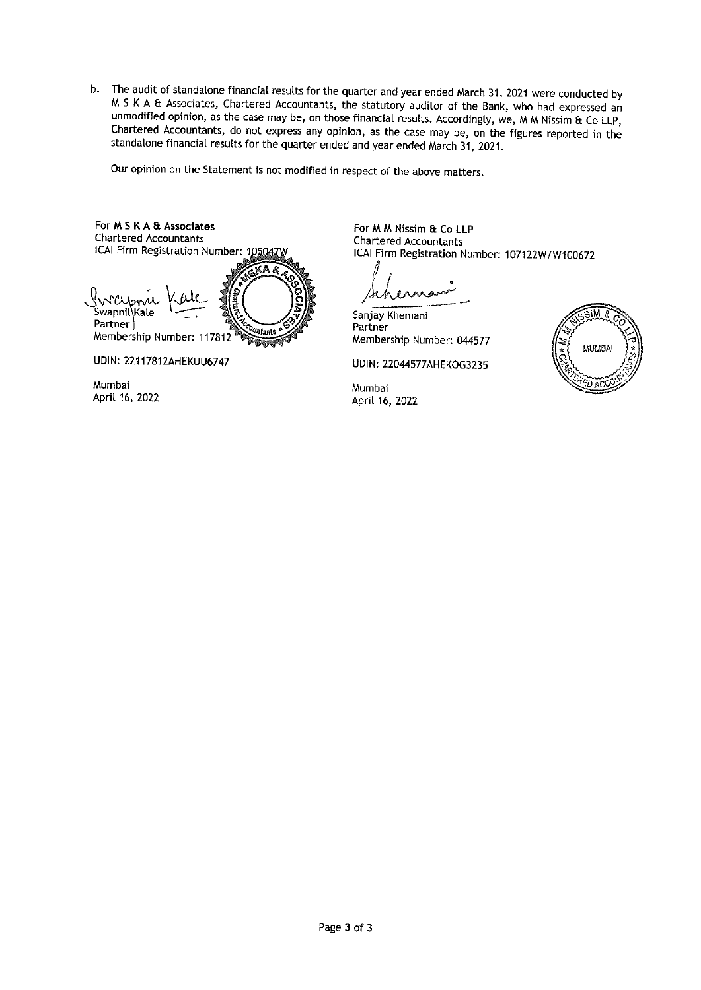b. The audit of standalone financial results for the quarter and year ended March 31, 2021 were conducted by M S K A & Associates, Chartered Accountants, the statutory auditor of the Bank, who had expressed an unmodified opinion, as the case may be, on those financial results. Accordingly, we, M M Nissim & Co LLP, Chartered Accountants, do not express any opinion, as the case may be, on the figures reported in the standalone financial results for the quarter ended and year ended March 31, 2021.

Our opinion on the Statement is not modified in respect of the above matters.



Mumbai

April 16, 2022

For M M Nissim & Co LLP **Chartered Accountants** ICAI Firm Registration Number: 107122W/W100672

Sanjay Khemani Partner Membership Number: 044577

UDIN: 22044577AHEKOG3235

Mumbai April 16, 2022

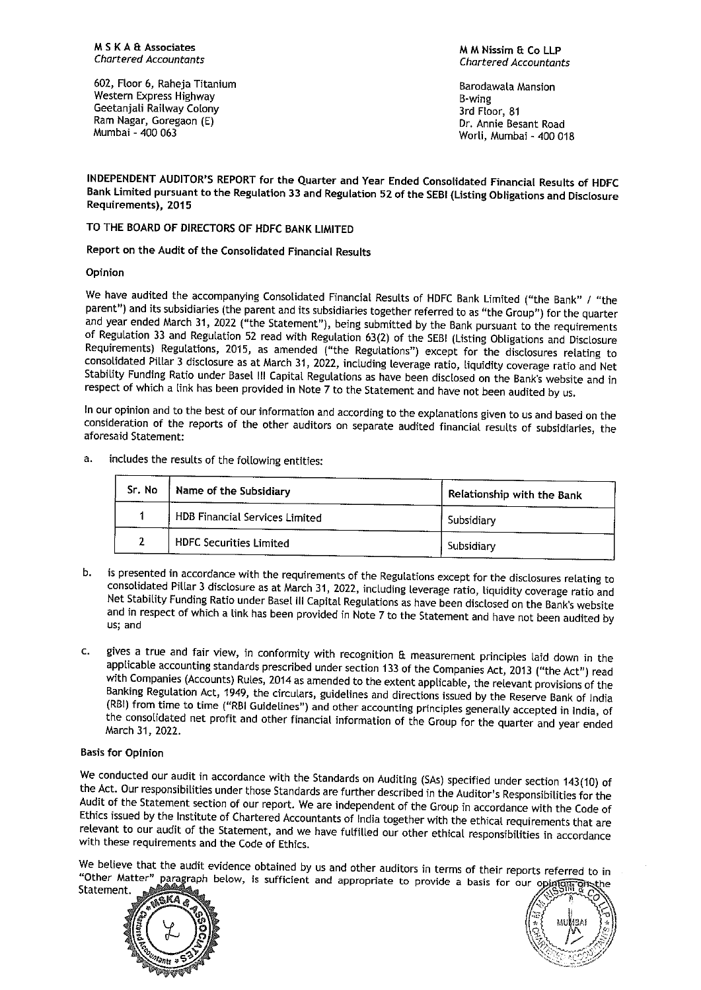602, Floor 6, Raheja Titanium Western Express Highway Geetanjali Railway Colony Ram Nagar, Goregaon (E) Mumbai - 400 063

M M Nissim & Co LLP **Chartered Accountants** 

**Barodawala Mansion B**-wing 3rd Floor, 81 Dr. Annie Besant Road Worli, Mumbai - 400 018

INDEPENDENT AUDITOR'S REPORT for the Quarter and Year Ended Consolidated Financial Results of HDFC Bank Limited pursuant to the Regulation 33 and Regulation 52 of the SEBI (Listing Obligations and Disclosure Requirements), 2015

TO THE BOARD OF DIRECTORS OF HDFC BANK LIMITED

Report on the Audit of the Consolidated Financial Results

Opinion

We have audited the accompanying Consolidated Financial Results of HDFC Bank Limited ("the Bank" / "the parent") and its subsidiaries (the parent and its subsidiaries together referred to as "the Group") for the quarter and year ended March 31, 2022 ("the Statement"), being submitted by the Bank pursuant to the requirements of Regulation 33 and Regulation 52 read with Regulation 63(2) of the SEBI (Listing Obligations and Disclosure Requirements) Regulations, 2015, as amended ("the Regulations") except for the disclosures relating to consolidated Pillar 3 disclosure as at March 31, 2022, including leverage ratio, liquidity coverage ratio and Net Stability Funding Ratio under Basel III Capital Regulations as have been disclosed on the Bank's website and in respect of which a link has been provided in Note 7 to the Statement and have not been audited by us.

In our opinion and to the best of our information and according to the explanations given to us and based on the consideration of the reports of the other auditors on separate audited financial results of subsidiaries, the aforesaid Statement:

includes the results of the following entities: a.

| Sr. No | Name of the Subsidiary         | Relationship with the Bank |
|--------|--------------------------------|----------------------------|
|        | HDB Financial Services Limited | Subsidiary                 |
|        | HDFC Securities Limited        | Subsidiary                 |

- is presented in accordance with the requirements of the Regulations except for the disclosures relating to h. consolidated Pillar 3 disclosure as at March 31, 2022, including leverage ratio, liquidity coverage ratio and Net Stability Funding Ratio under Basel III Capital Regulations as have been disclosed on the Bank's website and in respect of which a link has been provided in Note 7 to the Statement and have not been audited by us; and
- gives a true and fair view, in conformity with recognition & measurement principles laid down in the  $\mathbf{C}$ applicable accounting standards prescribed under section 133 of the Companies Act, 2013 ("the Act") read with Companies (Accounts) Rules, 2014 as amended to the extent applicable, the relevant provisions of the Banking Regulation Act, 1949, the circulars, guidelines and directions issued by the Reserve Bank of India (RBI) from time to time ("RBI Guidelines") and other accounting principles generally accepted in India, of the consolidated net profit and other financial information of the Group for the quarter and year ended March 31, 2022.

## **Basis for Opinion**

We conducted our audit in accordance with the Standards on Auditing (SAs) specified under section 143(10) of the Act. Our responsibilities under those Standards are further described in the Auditor's Responsibilities for the Audit of the Statement section of our report. We are independent of the Group in accordance with the Code of Ethics issued by the Institute of Chartered Accountants of India together with the ethical requirements that are relevant to our audit of the Statement, and we have fulfilled our other ethical responsibilities in accordance with these requirements and the Code of Ethics.

We believe that the audit evidence obtained by us and other auditors in terms of their reports referred to in "Other Matter" paragraph below, is sufficient and appropriate to provide a basis for our opinion **प्रो**स्टी Statement.



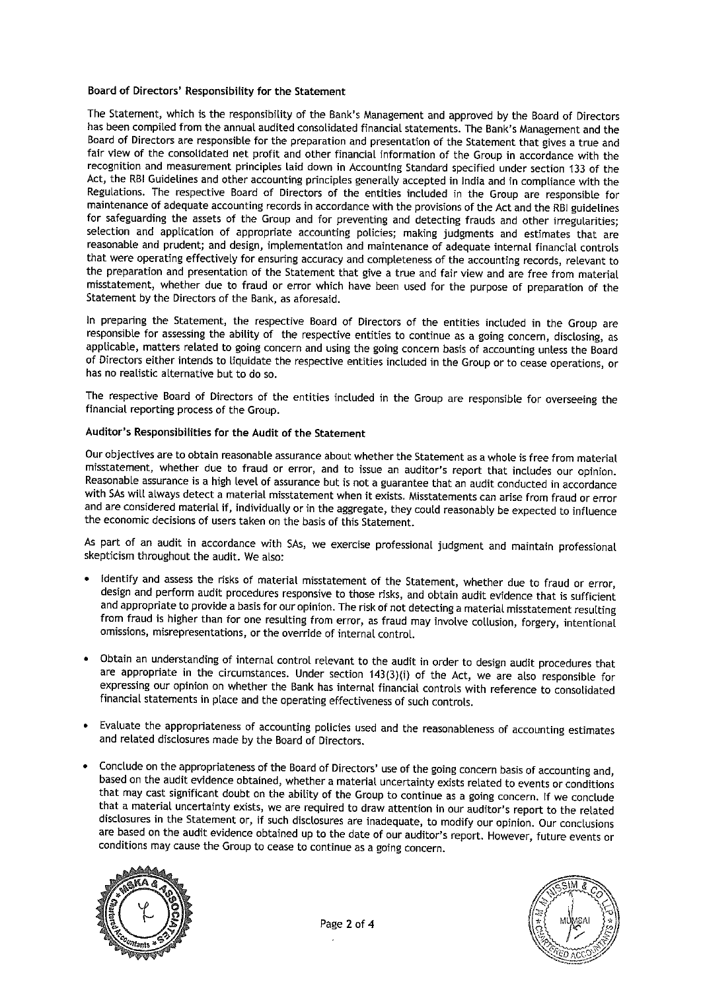### Board of Directors' Responsibility for the Statement

The Statement, which is the responsibility of the Bank's Management and approved by the Board of Directors has been compiled from the annual audited consolidated financial statements. The Bank's Management and the Board of Directors are responsible for the preparation and presentation of the Statement that gives a true and fair view of the consolidated net profit and other financial information of the Group in accordance with the recognition and measurement principles laid down in Accounting Standard specified under section 133 of the Act, the RBI Guidelines and other accounting principles generally accepted in India and in compliance with the Regulations. The respective Board of Directors of the entities included in the Group are responsible for maintenance of adequate accounting records in accordance with the provisions of the Act and the RBI guidelines for safeguarding the assets of the Group and for preventing and detecting frauds and other irregularities; selection and application of appropriate accounting policies; making judgments and estimates that are reasonable and prudent; and design, implementation and maintenance of adequate internal financial controls that were operating effectively for ensuring accuracy and completeness of the accounting records, relevant to the preparation and presentation of the Statement that give a true and fair view and are free from material misstatement, whether due to fraud or error which have been used for the purpose of preparation of the Statement by the Directors of the Bank, as aforesaid.

In preparing the Statement, the respective Board of Directors of the entities included in the Group are responsible for assessing the ability of the respective entities to continue as a going concern, disclosing, as applicable, matters related to going concern and using the going concern basis of accounting unless the Board of Directors either intends to liquidate the respective entities included in the Group or to cease operations, or has no realistic alternative but to do so.

The respective Board of Directors of the entities included in the Group are responsible for overseeing the financial reporting process of the Group.

## Auditor's Responsibilities for the Audit of the Statement

Our objectives are to obtain reasonable assurance about whether the Statement as a whole is free from material misstatement, whether due to fraud or error, and to issue an auditor's report that includes our opinion. Reasonable assurance is a high level of assurance but is not a guarantee that an audit conducted in accordance with SAs will always detect a material misstatement when it exists. Misstatements can arise from fraud or error and are considered material if, individually or in the aggregate, they could reasonably be expected to influence the economic decisions of users taken on the basis of this Statement.

As part of an audit in accordance with SAs, we exercise professional judgment and maintain professional skepticism throughout the audit. We also:

- Identify and assess the risks of material misstatement of the Statement, whether due to fraud or error, design and perform audit procedures responsive to those risks, and obtain audit evidence that is sufficient and appropriate to provide a basis for our opinion. The risk of not detecting a material misstatement resulting from fraud is higher than for one resulting from error, as fraud may involve collusion, forgery, intentional omissions, misrepresentations, or the override of internal control.
- Obtain an understanding of internal control relevant to the audit in order to design audit procedures that are appropriate in the circumstances. Under section 143(3)(i) of the Act, we are also responsible for expressing our opinion on whether the Bank has internal financial controls with reference to consolidated financial statements in place and the operating effectiveness of such controls.
- Evaluate the appropriateness of accounting policies used and the reasonableness of accounting estimates and related disclosures made by the Board of Directors.
- Conclude on the appropriateness of the Board of Directors' use of the going concern basis of accounting and, based on the audit evidence obtained, whether a material uncertainty exists related to events or conditions that may cast significant doubt on the ability of the Group to continue as a going concern. If we conclude that a material uncertainty exists, we are required to draw attention in our auditor's report to the related disclosures in the Statement or, if such disclosures are inadequate, to modify our opinion. Our conclusions are based on the audit evidence obtained up to the date of our auditor's report. However, future events or conditions may cause the Group to cease to continue as a going concern.



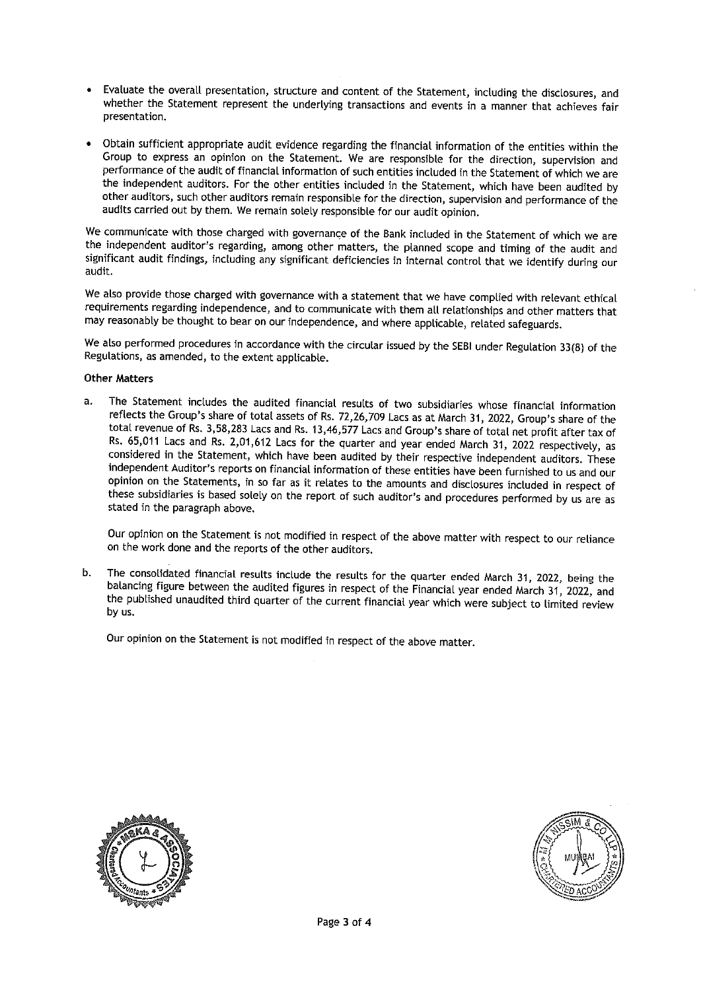- Evaluate the overall presentation, structure and content of the Statement, including the disclosures, and whether the Statement represent the underlying transactions and events in a manner that achieves fair presentation.
- Obtain sufficient appropriate audit evidence regarding the financial information of the entities within the Group to express an opinion on the Statement. We are responsible for the direction, supervision and performance of the audit of financial information of such entities included in the Statement of which we are the independent auditors. For the other entities included in the Statement, which have been audited by other auditors, such other auditors remain responsible for the direction, supervision and performance of the audits carried out by them. We remain solely responsible for our audit opinion.

We communicate with those charged with governance of the Bank included in the Statement of which we are the independent auditor's regarding, among other matters, the planned scope and timing of the audit and significant audit findings, including any significant deficiencies in internal control that we identify during our audit.

We also provide those charged with governance with a statement that we have complied with relevant ethical requirements regarding independence, and to communicate with them all relationships and other matters that may reasonably be thought to bear on our independence, and where applicable, related safeguards.

We also performed procedures in accordance with the circular issued by the SEBI under Regulation 33(8) of the Regulations, as amended, to the extent applicable.

## **Other Matters**

a. The Statement includes the audited financial results of two subsidiaries whose financial information reflects the Group's share of total assets of Rs. 72,26,709 Lacs as at March 31, 2022, Group's share of the total revenue of Rs. 3,58,283 Lacs and Rs. 13,46,577 Lacs and Group's share of total net profit after tax of Rs. 65,011 Lacs and Rs. 2,01,612 Lacs for the quarter and year ended March 31, 2022 respectively, as considered in the Statement, which have been audited by their respective independent auditors. These independent Auditor's reports on financial information of these entities have been furnished to us and our opinion on the Statements, in so far as it relates to the amounts and disclosures included in respect of these subsidiaries is based solely on the report of such auditor's and procedures performed by us are as stated in the paragraph above.

Our opinion on the Statement is not modified in respect of the above matter with respect to our reliance on the work done and the reports of the other auditors.

The consolidated financial results include the results for the quarter ended March 31, 2022, being the h. balancing figure between the audited figures in respect of the Financial year ended March 31, 2022, and the published unaudited third quarter of the current financial year which were subject to limited review by us.

Our opinion on the Statement is not modified in respect of the above matter.



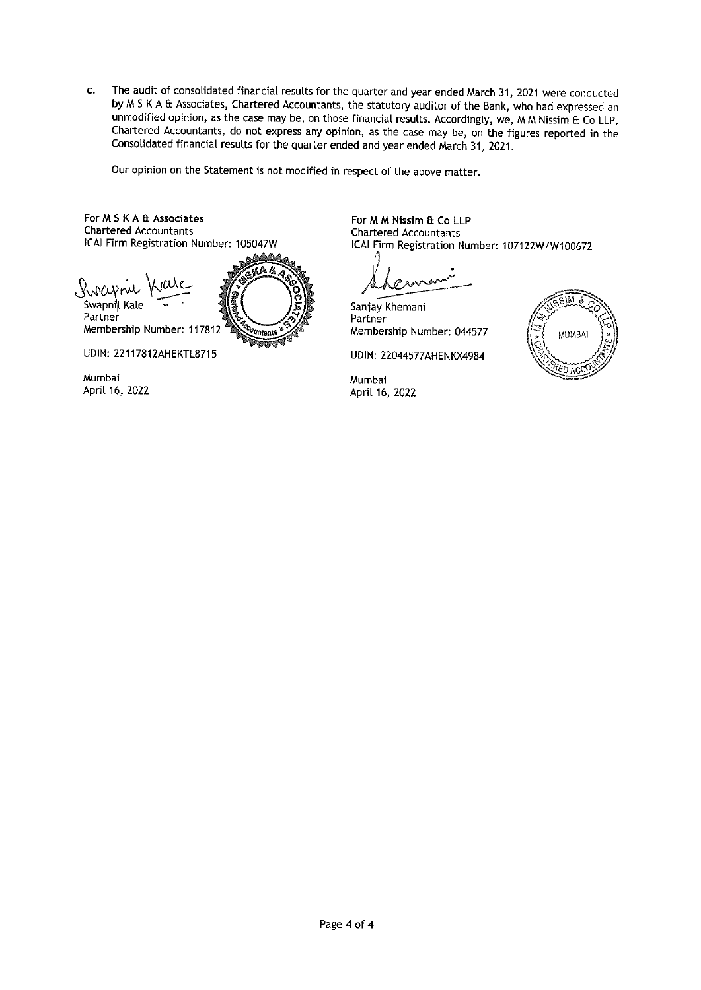The audit of consolidated financial results for the quarter and year ended March 31, 2021 were conducted  $\mathbf{c}$ . by M S K A & Associates, Chartered Accountants, the statutory auditor of the Bank, who had expressed an unmodified opinion, as the case may be, on those financial results. Accordingly, we, M M Nissim & Co LLP, Chartered Accountants, do not express any opinion, as the case may be, on the figures reported in the Consolidated financial results for the quarter ended and year ended March 31, 2021.

Our opinion on the Statement is not modified in respect of the above matter.

For M S K A & Associates **Chartered Accountants** ICAI Firm Registration Number: 105047W

A & Swapnil Kale Partner Membership Number: 117812 Vatant .<br>Umr

**UDIN: 22117812AHEKTL8715** 

Mumbai April 16, 2022 For M M Nissim & Co LLP **Chartered Accountants** ICAI Firm Registration Number: 107122W/W100672

Sanjay Khemani Partner Membership Number: 044577

**UDIN: 22044577AHENKX4984** 

Mumbai April 16, 2022

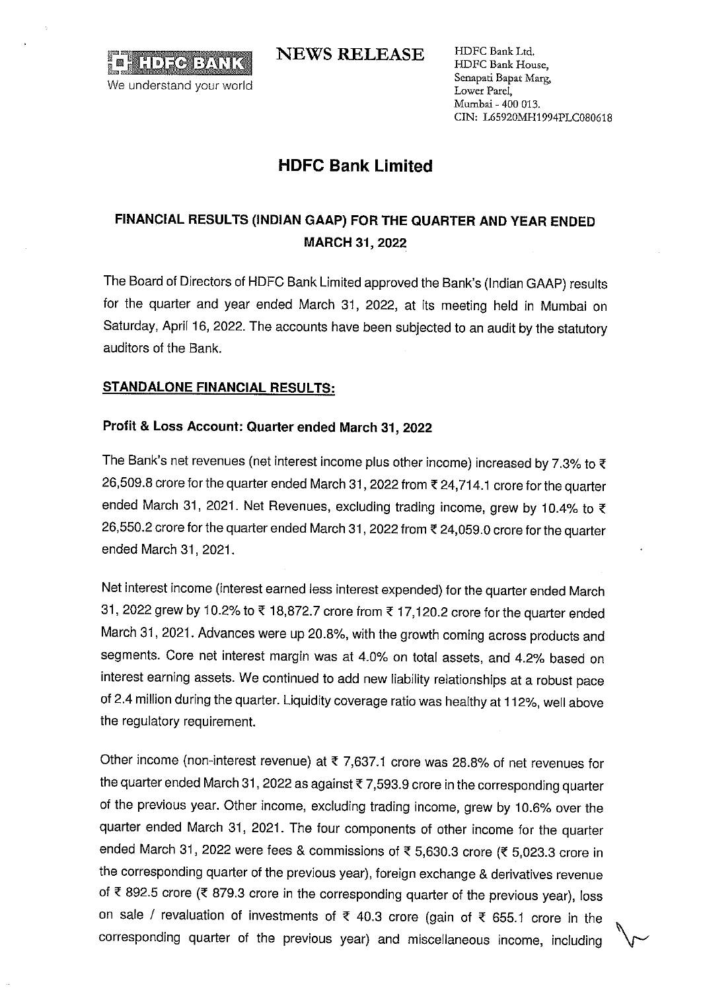**HDREEWIN** We understand your world

**NEWS RELEASE** 

HDFC Bank Ltd. HDFC Bank House, Senapati Bapat Marg, Lower Parel, Mumbai - 400 013. CIN: L65920MH1994PLC080618

# **HDFC Bank Limited**

# FINANCIAL RESULTS (INDIAN GAAP) FOR THE QUARTER AND YEAR ENDED **MARCH 31, 2022**

The Board of Directors of HDFC Bank Limited approved the Bank's (Indian GAAP) results for the quarter and year ended March 31, 2022, at its meeting held in Mumbai on Saturday, April 16, 2022. The accounts have been subjected to an audit by the statutory auditors of the Bank.

# **STANDALONE FINANCIAL RESULTS:**

# Profit & Loss Account: Quarter ended March 31, 2022

The Bank's net revenues (net interest income plus other income) increased by 7.3% to  $\bar{\tau}$ 26,509.8 crore for the quarter ended March 31, 2022 from ₹ 24,714.1 crore for the quarter ended March 31, 2021. Net Revenues, excluding trading income, grew by 10.4% to ₹ 26,550.2 crore for the quarter ended March 31, 2022 from ₹ 24,059.0 crore for the quarter ended March 31, 2021.

Net interest income (interest earned less interest expended) for the quarter ended March 31, 2022 grew by 10.2% to ₹ 18,872.7 crore from ₹ 17,120.2 crore for the quarter ended March 31, 2021. Advances were up 20.8%, with the growth coming across products and segments. Core net interest margin was at 4.0% on total assets, and 4.2% based on interest earning assets. We continued to add new liability relationships at a robust pace of 2.4 million during the quarter. Liquidity coverage ratio was healthy at 112%, well above the regulatory requirement.

Other income (non-interest revenue) at  $\overline{\tau}$  7,637.1 crore was 28.8% of net revenues for the quarter ended March 31, 2022 as against ₹7,593.9 crore in the corresponding quarter of the previous year. Other income, excluding trading income, grew by 10.6% over the quarter ended March 31, 2021. The four components of other income for the quarter ended March 31, 2022 were fees & commissions of ₹ 5,630.3 crore (₹ 5,023.3 crore in the corresponding quarter of the previous year), foreign exchange & derivatives revenue of ₹ 892.5 crore (₹ 879.3 crore in the corresponding quarter of the previous year), loss on sale / revaluation of investments of ₹ 40.3 crore (gain of ₹ 655.1 crore in the corresponding quarter of the previous year) and miscellaneous income, including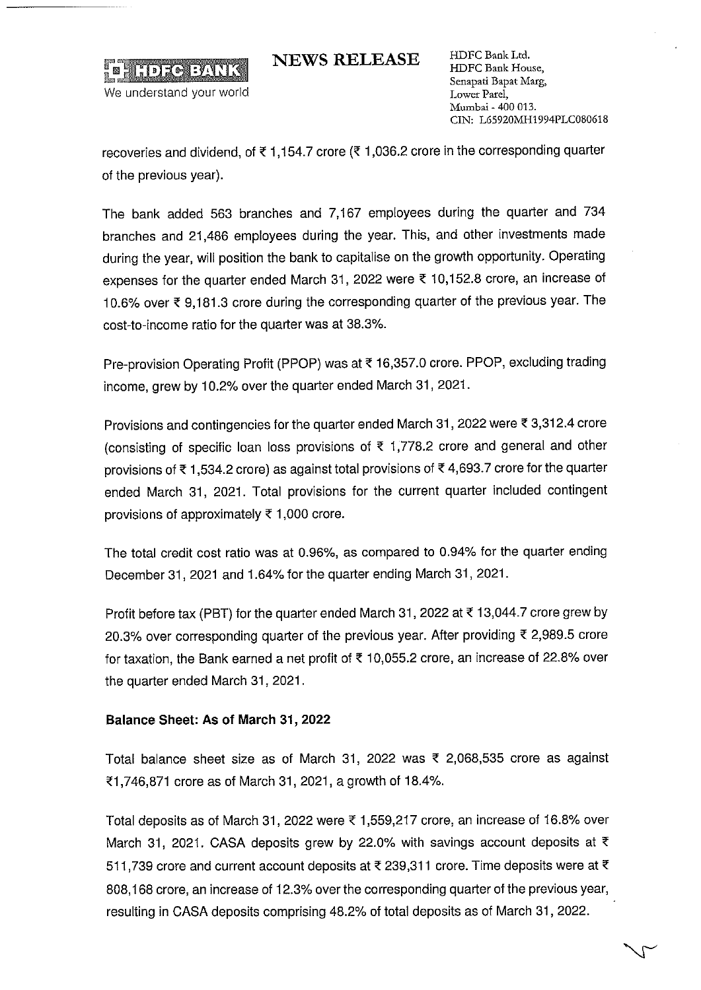

**NEWS RELEASE** 

HDFC Bank Ltd. HDFC Bank House, Senapati Bapat Marg, Lower Parel, Mumbai - 400 013. CIN: L65920MH1994PLC080618

recoveries and dividend, of ₹1,154.7 crore (₹1,036.2 crore in the corresponding quarter of the previous year).

The bank added 563 branches and 7,167 employees during the quarter and 734 branches and 21,486 employees during the year. This, and other investments made during the year, will position the bank to capitalise on the growth opportunity. Operating expenses for the quarter ended March 31, 2022 were ₹ 10,152.8 crore, an increase of 10.6% over ₹ 9.181.3 crore during the corresponding quarter of the previous year. The cost-to-income ratio for the quarter was at 38.3%.

Pre-provision Operating Profit (PPOP) was at ₹16,357.0 crore. PPOP, excluding trading income, grew by 10.2% over the quarter ended March 31, 2021.

Provisions and contingencies for the quarter ended March 31, 2022 were ₹ 3,312.4 crore (consisting of specific loan loss provisions of  $\bar{\tau}$  1,778.2 crore and general and other provisions of ₹1,534.2 crore) as against total provisions of ₹4,693.7 crore for the quarter ended March 31, 2021. Total provisions for the current quarter included contingent provisions of approximately ₹ 1,000 crore.

The total credit cost ratio was at 0.96%, as compared to 0.94% for the quarter ending December 31, 2021 and 1.64% for the quarter ending March 31, 2021.

Profit before tax (PBT) for the quarter ended March 31, 2022 at ₹13,044.7 crore grew by 20.3% over corresponding quarter of the previous year. After providing ₹ 2,989.5 crore for taxation, the Bank earned a net profit of ₹ 10,055.2 crore, an increase of 22.8% over the quarter ended March 31, 2021.

# Balance Sheet: As of March 31, 2022

Total balance sheet size as of March 31, 2022 was  $\bar{\tau}$  2,068,535 crore as against ₹1,746,871 crore as of March 31, 2021, a growth of 18.4%.

Total deposits as of March 31, 2022 were ₹ 1,559,217 crore, an increase of 16.8% over March 31, 2021. CASA deposits grew by 22.0% with savings account deposits at  $\bar{\xi}$ 511,739 crore and current account deposits at ₹ 239,311 crore. Time deposits were at ₹ 808,168 crore, an increase of 12.3% over the corresponding quarter of the previous year, resulting in CASA deposits comprising 48.2% of total deposits as of March 31, 2022.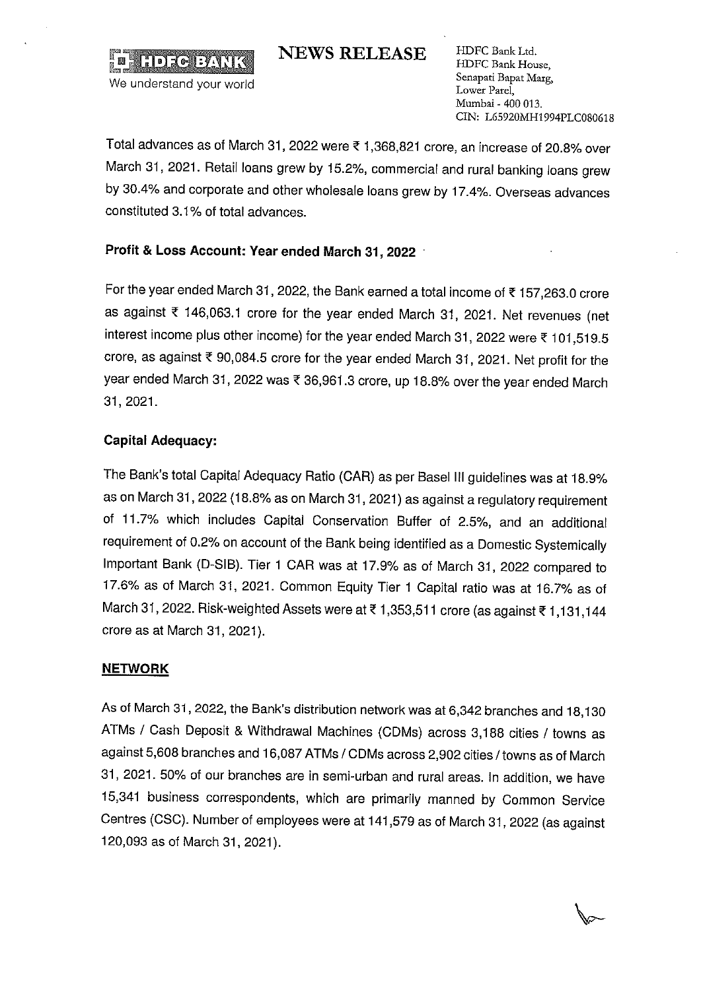**NEWS RELEASE** 

HDFC Bank Ltd. HDFC Bank House, Senapati Bapat Marg, Lower Parel. Mumbai - 400 013 CIN: L65920MH1994PLC080618

Total advances as of March 31, 2022 were ₹ 1,368,821 crore, an increase of 20.8% over March 31, 2021. Retail loans grew by 15.2%, commercial and rural banking loans grew by 30.4% and corporate and other wholesale loans grew by 17.4%. Overseas advances constituted 3.1% of total advances.

# Profit & Loss Account: Year ended March 31, 2022

For the year ended March 31, 2022, the Bank earned a total income of ₹157,263.0 crore as against ₹ 146,063.1 crore for the year ended March 31, 2021. Net revenues (net interest income plus other income) for the year ended March 31, 2022 were ₹ 101,519.5 crore, as against ₹ 90,084.5 crore for the year ended March 31, 2021. Net profit for the year ended March 31, 2022 was ₹ 36,961.3 crore, up 18.8% over the year ended March 31, 2021.

# **Capital Adequacy:**

F

**HDEGEANTK** 

We understand your world

The Bank's total Capital Adequacy Ratio (CAR) as per Basel III guidelines was at 18.9% as on March 31, 2022 (18.8% as on March 31, 2021) as against a regulatory requirement of 11.7% which includes Capital Conservation Buffer of 2.5%, and an additional requirement of 0.2% on account of the Bank being identified as a Domestic Systemically Important Bank (D-SIB). Tier 1 CAR was at 17.9% as of March 31, 2022 compared to 17.6% as of March 31, 2021. Common Equity Tier 1 Capital ratio was at 16.7% as of March 31, 2022. Risk-weighted Assets were at ₹1,353,511 crore (as against ₹1,131,144 crore as at March 31, 2021).

# **NETWORK**

As of March 31, 2022, the Bank's distribution network was at 6,342 branches and 18,130 ATMs / Cash Deposit & Withdrawal Machines (CDMs) across 3,188 cities / towns as against 5,608 branches and 16,087 ATMs / CDMs across 2,902 cities / towns as of March 31, 2021. 50% of our branches are in semi-urban and rural areas. In addition, we have 15,341 business correspondents, which are primarily manned by Common Service Centres (CSC). Number of employees were at 141,579 as of March 31, 2022 (as against 120,093 as of March 31, 2021).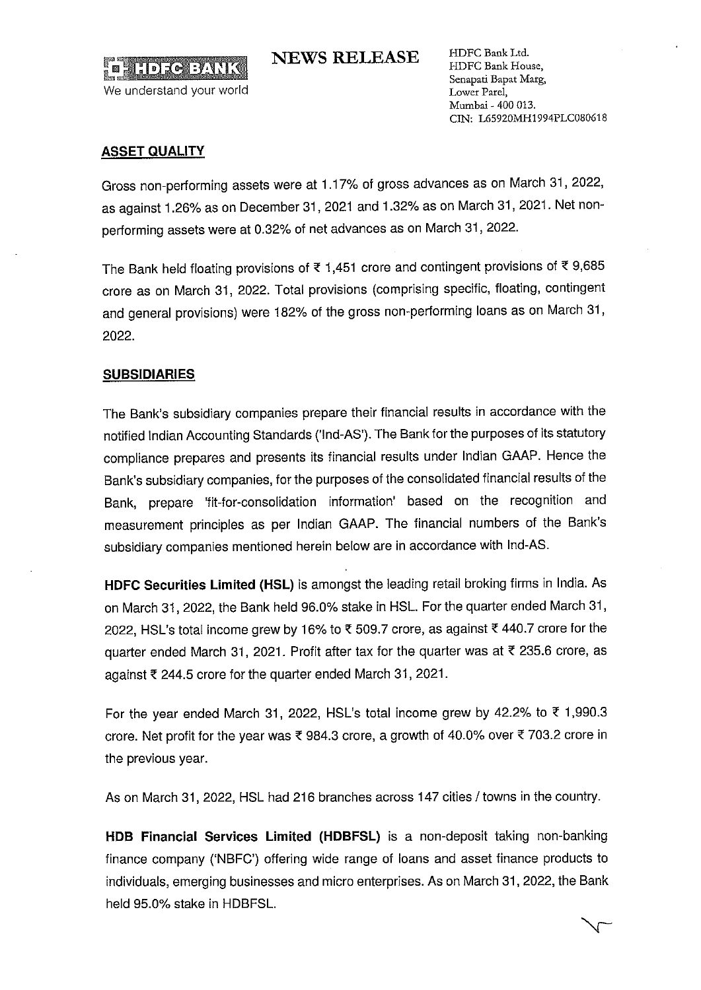

We understand your world

HDFC Bank Ltd. HDFC Bank House, Senapati Bapat Marg, Lower Parel, Mumbai - 400 013. CIN: L65920MH1994PLC080618

## **ASSET QUALITY**

Gross non-performing assets were at 1.17% of gross advances as on March 31, 2022, as against 1.26% as on December 31, 2021 and 1.32% as on March 31, 2021. Net nonperforming assets were at 0.32% of net advances as on March 31, 2022.

**NEWS RELEASE** 

The Bank held floating provisions of  $\overline{\epsilon}$  1,451 crore and contingent provisions of  $\overline{\epsilon}$  9,685 crore as on March 31, 2022. Total provisions (comprising specific, floating, contingent and general provisions) were 182% of the gross non-performing loans as on March 31, 2022.

## **SUBSIDIARIES**

The Bank's subsidiary companies prepare their financial results in accordance with the notified Indian Accounting Standards ('Ind-AS'). The Bank for the purposes of its statutory compliance prepares and presents its financial results under Indian GAAP. Hence the Bank's subsidiary companies, for the purposes of the consolidated financial results of the Bank, prepare 'fit-for-consolidation information' based on the recognition and measurement principles as per Indian GAAP. The financial numbers of the Bank's subsidiary companies mentioned herein below are in accordance with Ind-AS.

HDFC Securities Limited (HSL) is amongst the leading retail broking firms in India. As on March 31, 2022, the Bank held 96.0% stake in HSL. For the quarter ended March 31, 2022, HSL's total income grew by 16% to ₹509.7 crore, as against ₹440.7 crore for the quarter ended March 31, 2021. Profit after tax for the quarter was at ₹ 235.6 crore, as against ₹ 244.5 crore for the quarter ended March 31, 2021.

For the year ended March 31, 2022, HSL's total income grew by 42.2% to  $\overline{\epsilon}$  1,990.3 crore. Net profit for the year was  $\bar{\tau}$  984.3 crore, a growth of 40.0% over  $\bar{\tau}$  703.2 crore in the previous year.

As on March 31, 2022, HSL had 216 branches across 147 cities / towns in the country.

HDB Financial Services Limited (HDBFSL) is a non-deposit taking non-banking finance company ('NBFC') offering wide range of loans and asset finance products to individuals, emerging businesses and micro enterprises. As on March 31, 2022, the Bank held 95.0% stake in HDBFSL.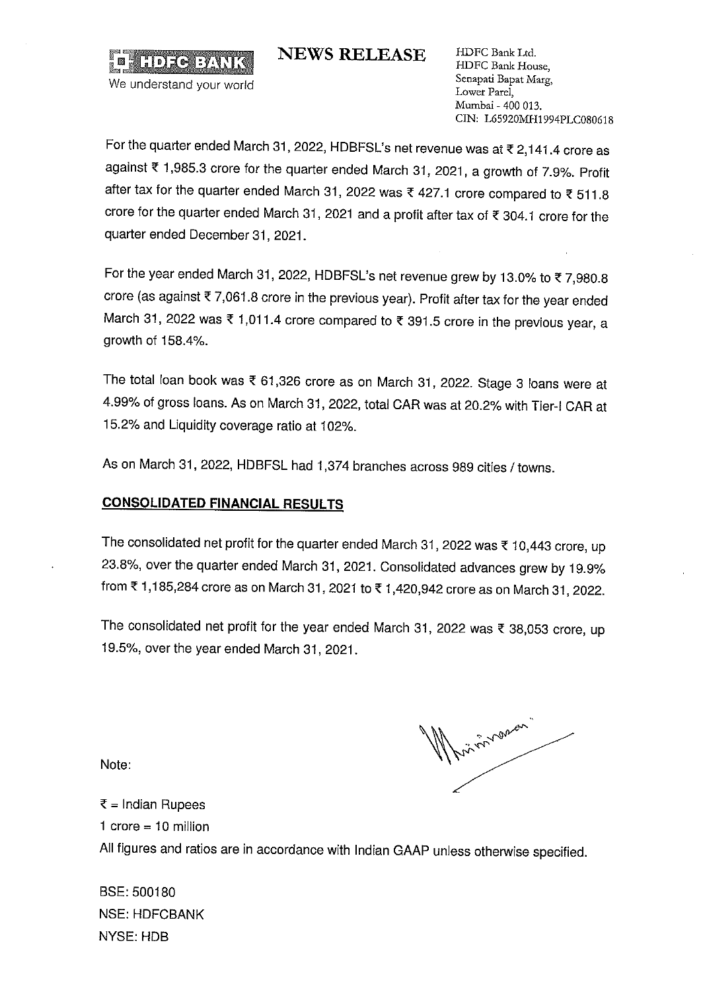**NEWS RELEASE** 

HDFC Bank Ltd. HDFC Bank House, Senapati Bapat Marg. Lower Parel, Mumbai - 400 013. CIN: L65920MH1994PLC080618

For the quarter ended March 31, 2022, HDBFSL's net revenue was at ₹ 2,141.4 crore as against ₹ 1,985.3 crore for the quarter ended March 31, 2021, a growth of 7.9%. Profit after tax for the quarter ended March 31, 2022 was ₹ 427.1 crore compared to ₹ 511.8 crore for the quarter ended March 31, 2021 and a profit after tax of ₹ 304.1 crore for the quarter ended December 31, 2021.

For the year ended March 31, 2022, HDBFSL's net revenue grew by 13.0% to ₹7,980.8 crore (as against ₹7,061.8 crore in the previous year). Profit after tax for the year ended March 31, 2022 was ₹ 1,011.4 crore compared to ₹ 391.5 crore in the previous year, a growth of 158.4%.

The total loan book was ₹ 61,326 crore as on March 31, 2022. Stage 3 loans were at 4.99% of gross loans. As on March 31, 2022, total CAR was at 20.2% with Tier-I CAR at 15.2% and Liquidity coverage ratio at 102%.

As on March 31, 2022, HDBFSL had 1,374 branches across 989 cities / towns.

# **CONSOLIDATED FINANCIAL RESULTS**

 $\blacksquare$  with  $\blacksquare$   $\blacksquare$ 

We understand your world

The consolidated net profit for the quarter ended March 31, 2022 was ₹ 10,443 crore, up 23.8%, over the quarter ended March 31, 2021. Consolidated advances grew by 19.9% from ₹1,185,284 crore as on March 31, 2021 to ₹1,420,942 crore as on March 31, 2022.

The consolidated net profit for the year ended March 31, 2022 was ₹ 38,053 crore, up 19.5%, over the year ended March 31, 2021.

Note:

Aniversion"

 $\bar{x}$  = Indian Rupees

1 crore =  $10$  million

All figures and ratios are in accordance with Indian GAAP unless otherwise specified.

BSE: 500180 **NSE: HDFCBANK NYSE: HDB**